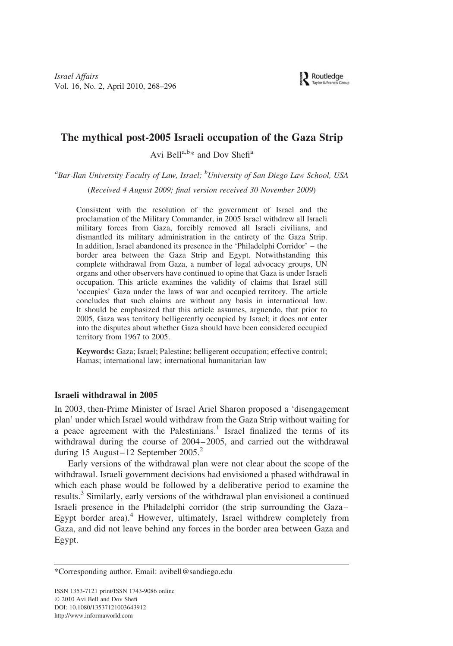

# The mythical post-2005 Israeli occupation of the Gaza Strip

Avi Bell<sup>a,b\*</sup> and Dov Shefi<sup>a</sup>

<sup>a</sup>Bar-Ilan University Faculty of Law, Israel; <sup>b</sup>University of San Diego Law School, USA

(Received 4 August 2009; final version received 30 November 2009)

Consistent with the resolution of the government of Israel and the proclamation of the Military Commander, in 2005 Israel withdrew all Israeli military forces from Gaza, forcibly removed all Israeli civilians, and dismantled its military administration in the entirety of the Gaza Strip. In addition, Israel abandoned its presence in the 'Philadelphi Corridor' – the border area between the Gaza Strip and Egypt. Notwithstanding this complete withdrawal from Gaza, a number of legal advocacy groups, UN organs and other observers have continued to opine that Gaza is under Israeli occupation. This article examines the validity of claims that Israel still 'occupies' Gaza under the laws of war and occupied territory. The article concludes that such claims are without any basis in international law. It should be emphasized that this article assumes, arguendo, that prior to 2005, Gaza was territory belligerently occupied by Israel; it does not enter into the disputes about whether Gaza should have been considered occupied territory from 1967 to 2005.

Keywords: Gaza; Israel; Palestine; belligerent occupation; effective control; Hamas; international law; international humanitarian law

# Israeli withdrawal in 2005

In 2003, then-Prime Minister of Israel Ariel Sharon proposed a 'disengagement plan' under which Israel would withdraw from the Gaza Strip without waiting for a peace agreement with the Palestinians.<sup>1</sup> Israel finalized the terms of its withdrawal during the course of 2004–2005, and carried out the withdrawal during 15 August–12 September 2005.<sup>2</sup>

Early versions of the withdrawal plan were not clear about the scope of the withdrawal. Israeli government decisions had envisioned a phased withdrawal in which each phase would be followed by a deliberative period to examine the results.<sup>3</sup> Similarly, early versions of the withdrawal plan envisioned a continued Israeli presence in the Philadelphi corridor (the strip surrounding the Gaza– Egypt border area). $4$  However, ultimately, Israel withdrew completely from Gaza, and did not leave behind any forces in the border area between Gaza and Egypt.

<sup>\*</sup>Corresponding author. Email: avibell@sandiego.edu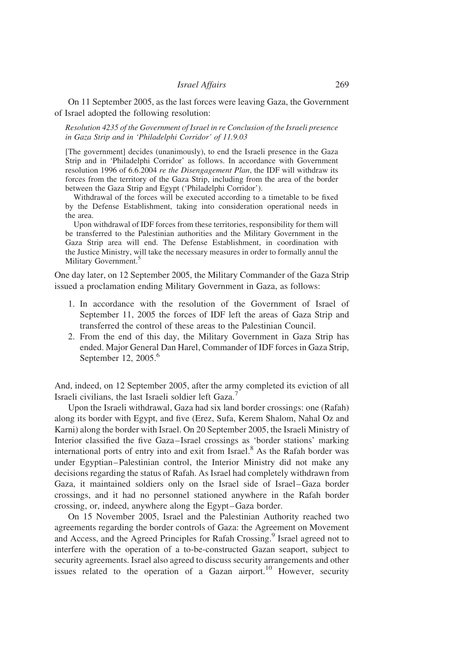On 11 September 2005, as the last forces were leaving Gaza, the Government of Israel adopted the following resolution:

Resolution 4235 of the Government of Israel in re Conclusion of the Israeli presence in Gaza Strip and in 'Philadelphi Corridor' of 11.9.03

[The government] decides (unanimously), to end the Israeli presence in the Gaza Strip and in 'Philadelphi Corridor' as follows. In accordance with Government resolution 1996 of 6.6.2004 re the Disengagement Plan, the IDF will withdraw its forces from the territory of the Gaza Strip, including from the area of the border between the Gaza Strip and Egypt ('Philadelphi Corridor').

Withdrawal of the forces will be executed according to a timetable to be fixed by the Defense Establishment, taking into consideration operational needs in the area.

Upon withdrawal of IDF forces from these territories, responsibility for them will be transferred to the Palestinian authorities and the Military Government in the Gaza Strip area will end. The Defense Establishment, in coordination with the Justice Ministry, will take the necessary measures in order to formally annul the Military Government.<sup>5</sup>

One day later, on 12 September 2005, the Military Commander of the Gaza Strip issued a proclamation ending Military Government in Gaza, as follows:

- 1. In accordance with the resolution of the Government of Israel of September 11, 2005 the forces of IDF left the areas of Gaza Strip and transferred the control of these areas to the Palestinian Council.
- 2. From the end of this day, the Military Government in Gaza Strip has ended. Major General Dan Harel, Commander of IDF forces in Gaza Strip, September 12, 2005.<sup>6</sup>

And, indeed, on 12 September 2005, after the army completed its eviction of all Israeli civilians, the last Israeli soldier left Gaza.<sup>7</sup>

Upon the Israeli withdrawal, Gaza had six land border crossings: one (Rafah) along its border with Egypt, and five (Erez, Sufa, Kerem Shalom, Nahal Oz and Karni) along the border with Israel. On 20 September 2005, the Israeli Ministry of Interior classified the five Gaza–Israel crossings as 'border stations' marking international ports of entry into and exit from Israel. $8$  As the Rafah border was under Egyptian–Palestinian control, the Interior Ministry did not make any decisions regarding the status of Rafah. As Israel had completely withdrawn from Gaza, it maintained soldiers only on the Israel side of Israel–Gaza border crossings, and it had no personnel stationed anywhere in the Rafah border crossing, or, indeed, anywhere along the Egypt–Gaza border.

On 15 November 2005, Israel and the Palestinian Authority reached two agreements regarding the border controls of Gaza: the Agreement on Movement and Access, and the Agreed Principles for Rafah Crossing.<sup>9</sup> Israel agreed not to interfere with the operation of a to-be-constructed Gazan seaport, subject to security agreements. Israel also agreed to discuss security arrangements and other issues related to the operation of a Gazan airport.<sup>10</sup> However, security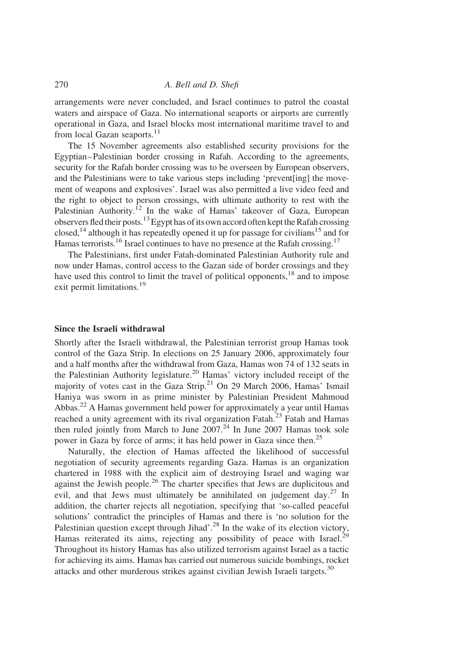arrangements were never concluded, and Israel continues to patrol the coastal waters and airspace of Gaza. No international seaports or airports are currently operational in Gaza, and Israel blocks most international maritime travel to and from local Gazan seaports.<sup>11</sup>

The 15 November agreements also established security provisions for the Egyptian–Palestinian border crossing in Rafah. According to the agreements, security for the Rafah border crossing was to be overseen by European observers, and the Palestinians were to take various steps including 'prevent[ing] the movement of weapons and explosives'. Israel was also permitted a live video feed and the right to object to person crossings, with ultimate authority to rest with the Palestinian Authority.<sup>12</sup> In the wake of Hamas' takeover of Gaza, European observers fled their posts.<sup>13</sup> Egypt has of its own accord often kept the Rafah crossing closed,<sup>14</sup> although it has repeatedly opened it up for passage for civilians<sup>15</sup> and for Hamas terrorists.<sup>16</sup> Israel continues to have no presence at the Rafah crossing.<sup>17</sup>

The Palestinians, first under Fatah-dominated Palestinian Authority rule and now under Hamas, control access to the Gazan side of border crossings and they have used this control to limit the travel of political opponents,<sup>18</sup> and to impose exit permit limitations.<sup>19</sup>

# Since the Israeli withdrawal

Shortly after the Israeli withdrawal, the Palestinian terrorist group Hamas took control of the Gaza Strip. In elections on 25 January 2006, approximately four and a half months after the withdrawal from Gaza, Hamas won 74 of 132 seats in the Palestinian Authority legislature.<sup>20</sup> Hamas' victory included receipt of the majority of votes cast in the Gaza Strip.<sup>21</sup> On 29 March 2006, Hamas' Ismail Haniya was sworn in as prime minister by Palestinian President Mahmoud Abbas.<sup>22</sup> A Hamas government held power for approximately a year until Hamas reached a unity agreement with its rival organization Fatah.<sup>23</sup> Fatah and Hamas then ruled jointly from March to June  $2007<sup>24</sup>$  In June 2007 Hamas took sole power in Gaza by force of arms; it has held power in Gaza since then.<sup>25</sup>

Naturally, the election of Hamas affected the likelihood of successful negotiation of security agreements regarding Gaza. Hamas is an organization chartered in 1988 with the explicit aim of destroying Israel and waging war against the Jewish people.<sup>26</sup> The charter specifies that Jews are duplicitous and evil, and that Jews must ultimately be annihilated on judgement day.<sup>27</sup> In addition, the charter rejects all negotiation, specifying that 'so-called peaceful solutions' contradict the principles of Hamas and there is 'no solution for the Palestinian question except through Jihad'.<sup>28</sup> In the wake of its election victory, Hamas reiterated its aims, rejecting any possibility of peace with Israel.<sup>29</sup> Throughout its history Hamas has also utilized terrorism against Israel as a tactic for achieving its aims. Hamas has carried out numerous suicide bombings, rocket attacks and other murderous strikes against civilian Jewish Israeli targets.30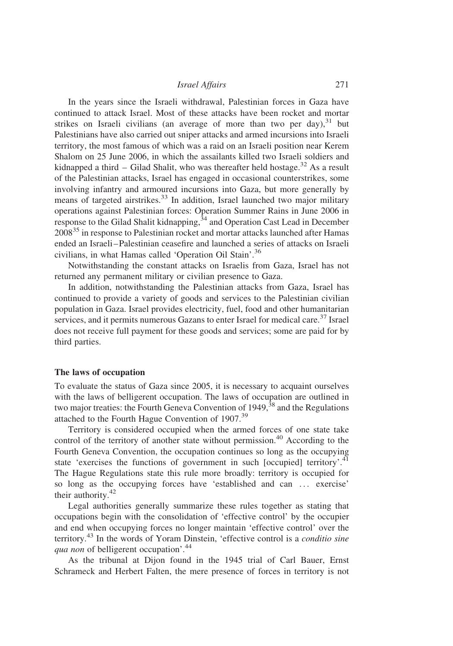In the years since the Israeli withdrawal, Palestinian forces in Gaza have continued to attack Israel. Most of these attacks have been rocket and mortar strikes on Israeli civilians (an average of more than two per day),  $31$  but Palestinians have also carried out sniper attacks and armed incursions into Israeli territory, the most famous of which was a raid on an Israeli position near Kerem Shalom on 25 June 2006, in which the assailants killed two Israeli soldiers and kidnapped a third – Gilad Shalit, who was thereafter held hostage.<sup>32</sup> As a result of the Palestinian attacks, Israel has engaged in occasional counterstrikes, some involving infantry and armoured incursions into Gaza, but more generally by means of targeted airstrikes.<sup>33</sup> In addition, Israel launched two major military operations against Palestinian forces: Operation Summer Rains in June 2006 in response to the Gilad Shalit kidnapping,  $34$  and Operation Cast Lead in December 2008<sup>35</sup> in response to Palestinian rocket and mortar attacks launched after Hamas ended an Israeli–Palestinian ceasefire and launched a series of attacks on Israeli civilians, in what Hamas called 'Operation Oil Stain'.<sup>36</sup>

Notwithstanding the constant attacks on Israelis from Gaza, Israel has not returned any permanent military or civilian presence to Gaza.

In addition, notwithstanding the Palestinian attacks from Gaza, Israel has continued to provide a variety of goods and services to the Palestinian civilian population in Gaza. Israel provides electricity, fuel, food and other humanitarian services, and it permits numerous Gazans to enter Israel for medical care.<sup>37</sup> Israel does not receive full payment for these goods and services; some are paid for by third parties.

#### The laws of occupation

To evaluate the status of Gaza since 2005, it is necessary to acquaint ourselves with the laws of belligerent occupation. The laws of occupation are outlined in two major treaties: the Fourth Geneva Convention of  $1949<sup>38</sup>$  and the Regulations attached to the Fourth Hague Convention of 1907.<sup>39</sup>

Territory is considered occupied when the armed forces of one state take control of the territory of another state without permission.<sup>40</sup> According to the Fourth Geneva Convention, the occupation continues so long as the occupying state 'exercises the functions of government in such [occupied] territory'.<sup>41</sup> The Hague Regulations state this rule more broadly: territory is occupied for so long as the occupying forces have 'established and can ... exercise' their authority.<sup>42</sup>

Legal authorities generally summarize these rules together as stating that occupations begin with the consolidation of 'effective control' by the occupier and end when occupying forces no longer maintain 'effective control' over the territory.<sup>43</sup> In the words of Yoram Dinstein, 'effective control is a *conditio sine* qua non of belligerent occupation'.<sup>44</sup>

As the tribunal at Dijon found in the 1945 trial of Carl Bauer, Ernst Schrameck and Herbert Falten, the mere presence of forces in territory is not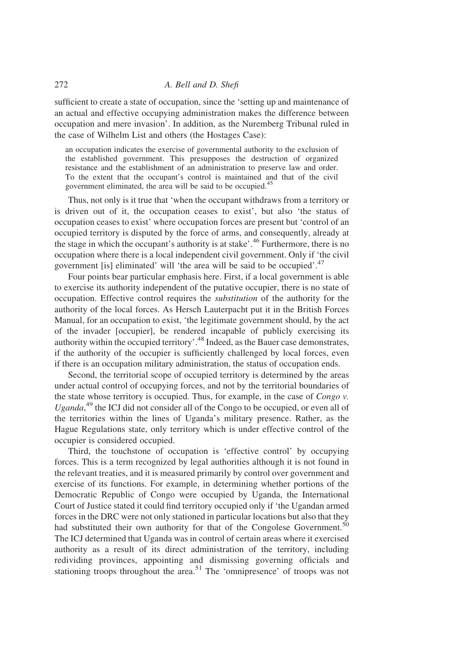sufficient to create a state of occupation, since the 'setting up and maintenance of an actual and effective occupying administration makes the difference between occupation and mere invasion'. In addition, as the Nuremberg Tribunal ruled in the case of Wilhelm List and others (the Hostages Case):

an occupation indicates the exercise of governmental authority to the exclusion of the established government. This presupposes the destruction of organized resistance and the establishment of an administration to preserve law and order. To the extent that the occupant's control is maintained and that of the civil government eliminated, the area will be said to be occupied.<sup>45</sup>

Thus, not only is it true that 'when the occupant withdraws from a territory or is driven out of it, the occupation ceases to exist', but also 'the status of occupation ceases to exist' where occupation forces are present but 'control of an occupied territory is disputed by the force of arms, and consequently, already at the stage in which the occupant's authority is at stake'.<sup>46</sup> Furthermore, there is no occupation where there is a local independent civil government. Only if 'the civil government [is] eliminated' will 'the area will be said to be occupied'.<sup>47</sup>

Four points bear particular emphasis here. First, if a local government is able to exercise its authority independent of the putative occupier, there is no state of occupation. Effective control requires the substitution of the authority for the authority of the local forces. As Hersch Lauterpacht put it in the British Forces Manual, for an occupation to exist, 'the legitimate government should, by the act of the invader [occupier], be rendered incapable of publicly exercising its authority within the occupied territory'.<sup>48</sup> Indeed, as the Bauer case demonstrates, if the authority of the occupier is sufficiently challenged by local forces, even if there is an occupation military administration, the status of occupation ends.

Second, the territorial scope of occupied territory is determined by the areas under actual control of occupying forces, and not by the territorial boundaries of the state whose territory is occupied. Thus, for example, in the case of Congo v. Uganda,<sup>49</sup> the ICJ did not consider all of the Congo to be occupied, or even all of the territories within the lines of Uganda's military presence. Rather, as the Hague Regulations state, only territory which is under effective control of the occupier is considered occupied.

Third, the touchstone of occupation is 'effective control' by occupying forces. This is a term recognized by legal authorities although it is not found in the relevant treaties, and it is measured primarily by control over government and exercise of its functions. For example, in determining whether portions of the Democratic Republic of Congo were occupied by Uganda, the International Court of Justice stated it could find territory occupied only if 'the Ugandan armed forces in the DRC were not only stationed in particular locations but also that they had substituted their own authority for that of the Congolese Government.<sup>50</sup> The ICJ determined that Uganda was in control of certain areas where it exercised authority as a result of its direct administration of the territory, including redividing provinces, appointing and dismissing governing officials and stationing troops throughout the area.<sup>51</sup> The 'omnipresence' of troops was not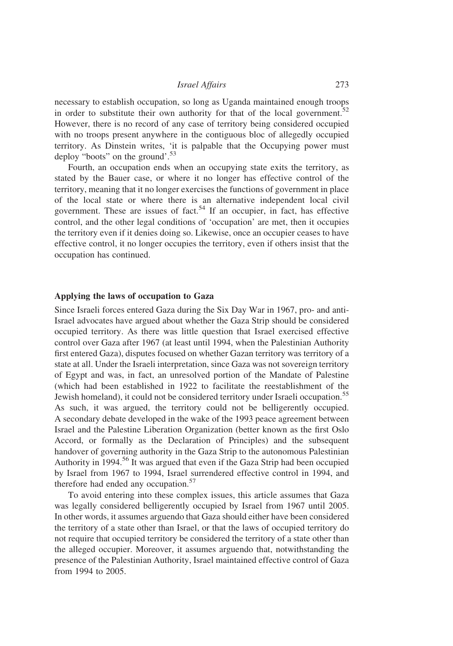necessary to establish occupation, so long as Uganda maintained enough troops in order to substitute their own authority for that of the local government.<sup>52</sup> However, there is no record of any case of territory being considered occupied with no troops present anywhere in the contiguous bloc of allegedly occupied territory. As Dinstein writes, 'it is palpable that the Occupying power must deploy "boots" on the ground'.53

Fourth, an occupation ends when an occupying state exits the territory, as stated by the Bauer case, or where it no longer has effective control of the territory, meaning that it no longer exercises the functions of government in place of the local state or where there is an alternative independent local civil government. These are issues of fact.<sup>54</sup> If an occupier, in fact, has effective control, and the other legal conditions of 'occupation' are met, then it occupies the territory even if it denies doing so. Likewise, once an occupier ceases to have effective control, it no longer occupies the territory, even if others insist that the occupation has continued.

# Applying the laws of occupation to Gaza

Since Israeli forces entered Gaza during the Six Day War in 1967, pro- and anti-Israel advocates have argued about whether the Gaza Strip should be considered occupied territory. As there was little question that Israel exercised effective control over Gaza after 1967 (at least until 1994, when the Palestinian Authority first entered Gaza), disputes focused on whether Gazan territory was territory of a state at all. Under the Israeli interpretation, since Gaza was not sovereign territory of Egypt and was, in fact, an unresolved portion of the Mandate of Palestine (which had been established in 1922 to facilitate the reestablishment of the Jewish homeland), it could not be considered territory under Israeli occupation.<sup>55</sup> As such, it was argued, the territory could not be belligerently occupied. A secondary debate developed in the wake of the 1993 peace agreement between Israel and the Palestine Liberation Organization (better known as the first Oslo Accord, or formally as the Declaration of Principles) and the subsequent handover of governing authority in the Gaza Strip to the autonomous Palestinian Authority in 1994.<sup>56</sup> It was argued that even if the Gaza Strip had been occupied by Israel from 1967 to 1994, Israel surrendered effective control in 1994, and therefore had ended any occupation.<sup>57</sup>

To avoid entering into these complex issues, this article assumes that Gaza was legally considered belligerently occupied by Israel from 1967 until 2005. In other words, it assumes arguendo that Gaza should either have been considered the territory of a state other than Israel, or that the laws of occupied territory do not require that occupied territory be considered the territory of a state other than the alleged occupier. Moreover, it assumes arguendo that, notwithstanding the presence of the Palestinian Authority, Israel maintained effective control of Gaza from 1994 to 2005.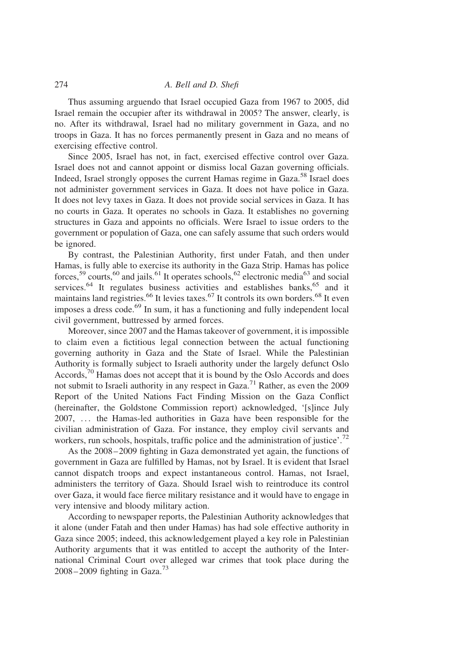Thus assuming arguendo that Israel occupied Gaza from 1967 to 2005, did Israel remain the occupier after its withdrawal in 2005? The answer, clearly, is no. After its withdrawal, Israel had no military government in Gaza, and no troops in Gaza. It has no forces permanently present in Gaza and no means of exercising effective control.

Since 2005, Israel has not, in fact, exercised effective control over Gaza. Israel does not and cannot appoint or dismiss local Gazan governing officials. Indeed, Israel strongly opposes the current Hamas regime in Gaza.<sup>58</sup> Israel does not administer government services in Gaza. It does not have police in Gaza. It does not levy taxes in Gaza. It does not provide social services in Gaza. It has no courts in Gaza. It operates no schools in Gaza. It establishes no governing structures in Gaza and appoints no officials. Were Israel to issue orders to the government or population of Gaza, one can safely assume that such orders would be ignored.

By contrast, the Palestinian Authority, first under Fatah, and then under Hamas, is fully able to exercise its authority in the Gaza Strip. Hamas has police forces,<sup>59</sup> courts,<sup>60</sup> and jails.<sup>61</sup> It operates schools,<sup>62</sup> electronic media<sup>63</sup> and social services.<sup>64</sup> It regulates business activities and establishes banks,<sup>65</sup> and it maintains land registries.<sup>66</sup> It levies taxes.<sup>67</sup> It controls its own borders.<sup>68</sup> It even imposes a dress code.<sup>69</sup> In sum, it has a functioning and fully independent local civil government, buttressed by armed forces.

Moreover, since 2007 and the Hamas takeover of government, it is impossible to claim even a fictitious legal connection between the actual functioning governing authority in Gaza and the State of Israel. While the Palestinian Authority is formally subject to Israeli authority under the largely defunct Oslo Accords,<sup>70</sup> Hamas does not accept that it is bound by the Oslo Accords and does not submit to Israeli authority in any respect in Gaza.<sup>71</sup> Rather, as even the 2009 Report of the United Nations Fact Finding Mission on the Gaza Conflict (hereinafter, the Goldstone Commission report) acknowledged, '[s]ince July 2007, ... the Hamas-led authorities in Gaza have been responsible for the civilian administration of Gaza. For instance, they employ civil servants and workers, run schools, hospitals, traffic police and the administration of justice'.<sup>72</sup>

As the 2008–2009 fighting in Gaza demonstrated yet again, the functions of government in Gaza are fulfilled by Hamas, not by Israel. It is evident that Israel cannot dispatch troops and expect instantaneous control. Hamas, not Israel, administers the territory of Gaza. Should Israel wish to reintroduce its control over Gaza, it would face fierce military resistance and it would have to engage in very intensive and bloody military action.

According to newspaper reports, the Palestinian Authority acknowledges that it alone (under Fatah and then under Hamas) has had sole effective authority in Gaza since 2005; indeed, this acknowledgement played a key role in Palestinian Authority arguments that it was entitled to accept the authority of the International Criminal Court over alleged war crimes that took place during the  $2008 - 2009$  fighting in Gaza.<sup>73</sup>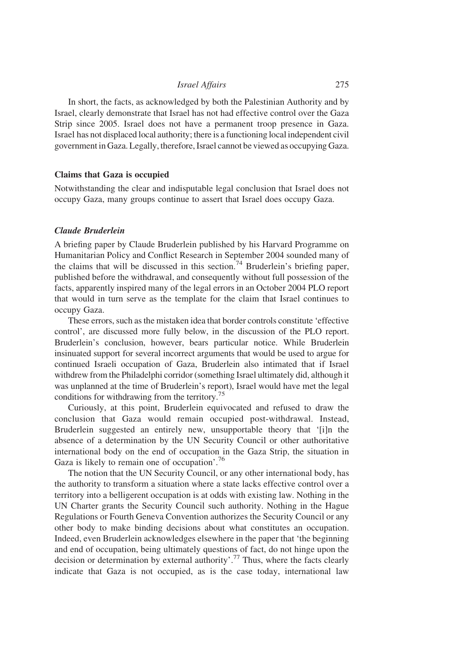In short, the facts, as acknowledged by both the Palestinian Authority and by Israel, clearly demonstrate that Israel has not had effective control over the Gaza Strip since 2005. Israel does not have a permanent troop presence in Gaza. Israel has not displaced local authority; there is a functioning local independent civil government in Gaza. Legally, therefore, Israel cannot be viewed as occupying Gaza.

# Claims that Gaza is occupied

Notwithstanding the clear and indisputable legal conclusion that Israel does not occupy Gaza, many groups continue to assert that Israel does occupy Gaza.

# Claude Bruderlein

A briefing paper by Claude Bruderlein published by his Harvard Programme on Humanitarian Policy and Conflict Research in September 2004 sounded many of the claims that will be discussed in this section.<sup>74</sup> Bruderlein's briefing paper, published before the withdrawal, and consequently without full possession of the facts, apparently inspired many of the legal errors in an October 2004 PLO report that would in turn serve as the template for the claim that Israel continues to occupy Gaza.

These errors, such as the mistaken idea that border controls constitute 'effective control', are discussed more fully below, in the discussion of the PLO report. Bruderlein's conclusion, however, bears particular notice. While Bruderlein insinuated support for several incorrect arguments that would be used to argue for continued Israeli occupation of Gaza, Bruderlein also intimated that if Israel withdrew from the Philadelphi corridor (something Israel ultimately did, although it was unplanned at the time of Bruderlein's report), Israel would have met the legal conditions for withdrawing from the territory.75

Curiously, at this point, Bruderlein equivocated and refused to draw the conclusion that Gaza would remain occupied post-withdrawal. Instead, Bruderlein suggested an entirely new, unsupportable theory that '[i]n the absence of a determination by the UN Security Council or other authoritative international body on the end of occupation in the Gaza Strip, the situation in Gaza is likely to remain one of occupation'.<sup>76</sup>

The notion that the UN Security Council, or any other international body, has the authority to transform a situation where a state lacks effective control over a territory into a belligerent occupation is at odds with existing law. Nothing in the UN Charter grants the Security Council such authority. Nothing in the Hague Regulations or Fourth Geneva Convention authorizes the Security Council or any other body to make binding decisions about what constitutes an occupation. Indeed, even Bruderlein acknowledges elsewhere in the paper that 'the beginning and end of occupation, being ultimately questions of fact, do not hinge upon the decision or determination by external authority'.<sup>77</sup> Thus, where the facts clearly indicate that Gaza is not occupied, as is the case today, international law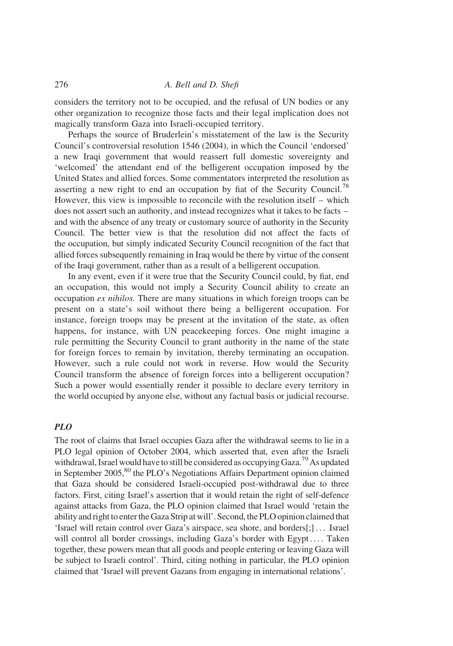considers the territory not to be occupied, and the refusal of UN bodies or any other organization to recognize those facts and their legal implication does not magically transform Gaza into Israeli-occupied territory.

Perhaps the source of Bruderlein's misstatement of the law is the Security Council's controversial resolution 1546 (2004), in which the Council 'endorsed' a new Iraqi government that would reassert full domestic sovereignty and 'welcomed' the attendant end of the belligerent occupation imposed by the United States and allied forces. Some commentators interpreted the resolution as asserting a new right to end an occupation by fiat of the Security Council.<sup>78</sup> However, this view is impossible to reconcile with the resolution itself – which does not assert such an authority, and instead recognizes what it takes to be facts – and with the absence of any treaty or customary source of authority in the Security Council. The better view is that the resolution did not affect the facts of the occupation, but simply indicated Security Council recognition of the fact that allied forces subsequently remaining in Iraq would be there by virtue of the consent of the Iraqi government, rather than as a result of a belligerent occupation.

In any event, even if it were true that the Security Council could, by fiat, end an occupation, this would not imply a Security Council ability to create an occupation ex nihilos. There are many situations in which foreign troops can be present on a state's soil without there being a belligerent occupation. For instance, foreign troops may be present at the invitation of the state, as often happens, for instance, with UN peacekeeping forces. One might imagine a rule permitting the Security Council to grant authority in the name of the state for foreign forces to remain by invitation, thereby terminating an occupation. However, such a rule could not work in reverse. How would the Security Council transform the absence of foreign forces into a belligerent occupation? Such a power would essentially render it possible to declare every territory in the world occupied by anyone else, without any factual basis or judicial recourse.

# PLO

The root of claims that Israel occupies Gaza after the withdrawal seems to lie in a PLO legal opinion of October 2004, which asserted that, even after the Israeli withdrawal, Israel would have to still be considered as occupying Gaza.<sup>79</sup> As updated in September 2005,<sup>80</sup> the PLO's Negotiations Affairs Department opinion claimed that Gaza should be considered Israeli-occupied post-withdrawal due to three factors. First, citing Israel's assertion that it would retain the right of self-defence against attacks from Gaza, the PLO opinion claimed that Israel would 'retain the ability and right to enter the Gaza Strip at will'. Second, the PLO opinion claimed that 'Israel will retain control over Gaza's airspace, sea shore, and borders[;]... Israel will control all border crossings, including Gaza's border with Egypt.... Taken together, these powers mean that all goods and people entering or leaving Gaza will be subject to Israeli control'. Third, citing nothing in particular, the PLO opinion claimed that 'Israel will prevent Gazans from engaging in international relations'.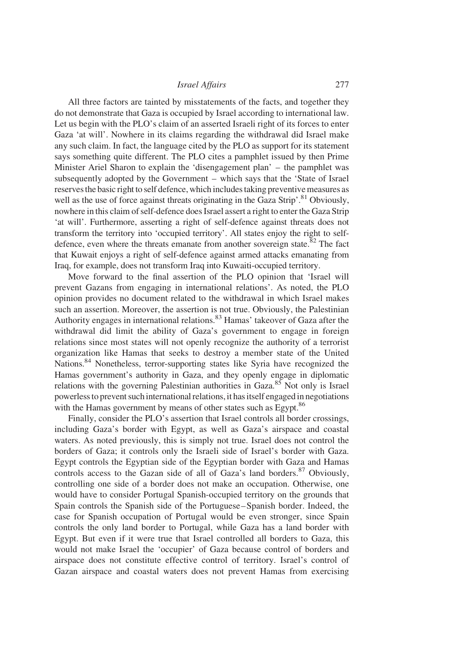All three factors are tainted by misstatements of the facts, and together they do not demonstrate that Gaza is occupied by Israel according to international law. Let us begin with the PLO's claim of an asserted Israeli right of its forces to enter Gaza 'at will'. Nowhere in its claims regarding the withdrawal did Israel make any such claim. In fact, the language cited by the PLO as support for its statement says something quite different. The PLO cites a pamphlet issued by then Prime Minister Ariel Sharon to explain the 'disengagement plan' – the pamphlet was subsequently adopted by the Government – which says that the 'State of Israel reserves the basic right to self defence, which includes taking preventive measures as well as the use of force against threats originating in the Gaza Strip'.<sup>81</sup> Obviously, nowhere in this claim of self-defence does Israel assert a right to enter the Gaza Strip 'at will'. Furthermore, asserting a right of self-defence against threats does not transform the territory into 'occupied territory'. All states enjoy the right to selfdefence, even where the threats emanate from another sovereign state. $82$  The fact that Kuwait enjoys a right of self-defence against armed attacks emanating from Iraq, for example, does not transform Iraq into Kuwaiti-occupied territory.

Move forward to the final assertion of the PLO opinion that 'Israel will prevent Gazans from engaging in international relations'. As noted, the PLO opinion provides no document related to the withdrawal in which Israel makes such an assertion. Moreover, the assertion is not true. Obviously, the Palestinian Authority engages in international relations.<sup>83</sup> Hamas' takeover of Gaza after the withdrawal did limit the ability of Gaza's government to engage in foreign relations since most states will not openly recognize the authority of a terrorist organization like Hamas that seeks to destroy a member state of the United Nations.<sup>84</sup> Nonetheless, terror-supporting states like Syria have recognized the Hamas government's authority in Gaza, and they openly engage in diplomatic relations with the governing Palestinian authorities in Gaza.<sup>85</sup> Not only is Israel powerless to prevent such international relations, it has itself engaged in negotiations with the Hamas government by means of other states such as Egypt.<sup>86</sup>

Finally, consider the PLO's assertion that Israel controls all border crossings, including Gaza's border with Egypt, as well as Gaza's airspace and coastal waters. As noted previously, this is simply not true. Israel does not control the borders of Gaza; it controls only the Israeli side of Israel's border with Gaza. Egypt controls the Egyptian side of the Egyptian border with Gaza and Hamas controls access to the Gazan side of all of Gaza's land borders.<sup>87</sup> Obviously, controlling one side of a border does not make an occupation. Otherwise, one would have to consider Portugal Spanish-occupied territory on the grounds that Spain controls the Spanish side of the Portuguese–Spanish border. Indeed, the case for Spanish occupation of Portugal would be even stronger, since Spain controls the only land border to Portugal, while Gaza has a land border with Egypt. But even if it were true that Israel controlled all borders to Gaza, this would not make Israel the 'occupier' of Gaza because control of borders and airspace does not constitute effective control of territory. Israel's control of Gazan airspace and coastal waters does not prevent Hamas from exercising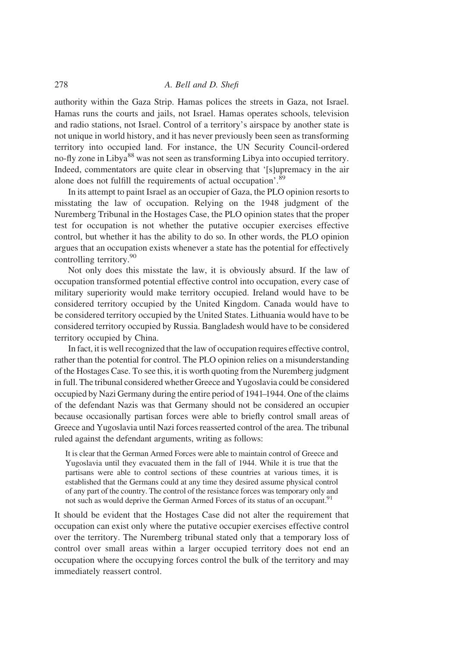authority within the Gaza Strip. Hamas polices the streets in Gaza, not Israel. Hamas runs the courts and jails, not Israel. Hamas operates schools, television and radio stations, not Israel. Control of a territory's airspace by another state is not unique in world history, and it has never previously been seen as transforming territory into occupied land. For instance, the UN Security Council-ordered no-fly zone in Libya<sup>88</sup> was not seen as transforming Libya into occupied territory. Indeed, commentators are quite clear in observing that '[s]upremacy in the air alone does not fulfill the requirements of actual occupation'.<sup>89</sup>

In its attempt to paint Israel as an occupier of Gaza, the PLO opinion resorts to misstating the law of occupation. Relying on the 1948 judgment of the Nuremberg Tribunal in the Hostages Case, the PLO opinion states that the proper test for occupation is not whether the putative occupier exercises effective control, but whether it has the ability to do so. In other words, the PLO opinion argues that an occupation exists whenever a state has the potential for effectively controlling territory.<sup>90</sup>

Not only does this misstate the law, it is obviously absurd. If the law of occupation transformed potential effective control into occupation, every case of military superiority would make territory occupied. Ireland would have to be considered territory occupied by the United Kingdom. Canada would have to be considered territory occupied by the United States. Lithuania would have to be considered territory occupied by Russia. Bangladesh would have to be considered territory occupied by China.

In fact, it is well recognized that the law of occupation requires effective control, rather than the potential for control. The PLO opinion relies on a misunderstanding of the Hostages Case. To see this, it is worth quoting from the Nuremberg judgment in full. The tribunal considered whether Greece and Yugoslavia could be considered occupied by Nazi Germany during the entire period of 1941–1944. One of the claims of the defendant Nazis was that Germany should not be considered an occupier because occasionally partisan forces were able to briefly control small areas of Greece and Yugoslavia until Nazi forces reasserted control of the area. The tribunal ruled against the defendant arguments, writing as follows:

It is clear that the German Armed Forces were able to maintain control of Greece and Yugoslavia until they evacuated them in the fall of 1944. While it is true that the partisans were able to control sections of these countries at various times, it is established that the Germans could at any time they desired assume physical control of any part of the country. The control of the resistance forces was temporary only and not such as would deprive the German Armed Forces of its status of an occupant.<sup>91</sup>

It should be evident that the Hostages Case did not alter the requirement that occupation can exist only where the putative occupier exercises effective control over the territory. The Nuremberg tribunal stated only that a temporary loss of control over small areas within a larger occupied territory does not end an occupation where the occupying forces control the bulk of the territory and may immediately reassert control.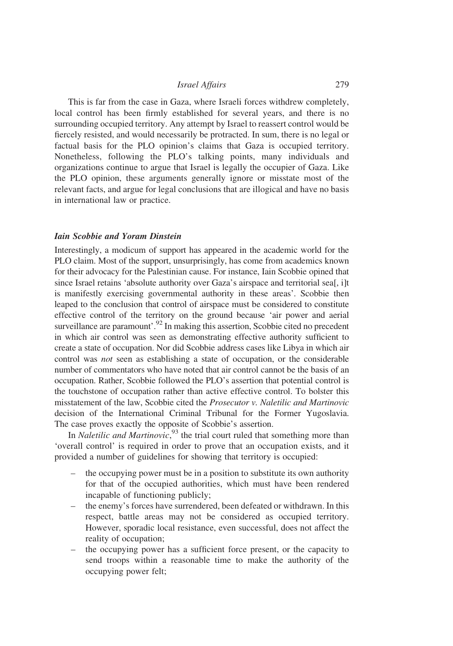This is far from the case in Gaza, where Israeli forces withdrew completely, local control has been firmly established for several years, and there is no surrounding occupied territory. Any attempt by Israel to reassert control would be fiercely resisted, and would necessarily be protracted. In sum, there is no legal or factual basis for the PLO opinion's claims that Gaza is occupied territory. Nonetheless, following the PLO's talking points, many individuals and organizations continue to argue that Israel is legally the occupier of Gaza. Like the PLO opinion, these arguments generally ignore or misstate most of the relevant facts, and argue for legal conclusions that are illogical and have no basis in international law or practice.

#### Iain Scobbie and Yoram Dinstein

Interestingly, a modicum of support has appeared in the academic world for the PLO claim. Most of the support, unsurprisingly, has come from academics known for their advocacy for the Palestinian cause. For instance, Iain Scobbie opined that since Israel retains 'absolute authority over Gaza's airspace and territorial sea[, i]t is manifestly exercising governmental authority in these areas'. Scobbie then leaped to the conclusion that control of airspace must be considered to constitute effective control of the territory on the ground because 'air power and aerial surveillance are paramount'.<sup>92</sup> In making this assertion, Scobbie cited no precedent in which air control was seen as demonstrating effective authority sufficient to create a state of occupation. Nor did Scobbie address cases like Libya in which air control was not seen as establishing a state of occupation, or the considerable number of commentators who have noted that air control cannot be the basis of an occupation. Rather, Scobbie followed the PLO's assertion that potential control is the touchstone of occupation rather than active effective control. To bolster this misstatement of the law, Scobbie cited the Prosecutor v. Naletilic and Martinovic decision of the International Criminal Tribunal for the Former Yugoslavia. The case proves exactly the opposite of Scobbie's assertion.

In *Naletilic and Martinovic*,<sup>93</sup> the trial court ruled that something more than 'overall control' is required in order to prove that an occupation exists, and it provided a number of guidelines for showing that territory is occupied:

- the occupying power must be in a position to substitute its own authority for that of the occupied authorities, which must have been rendered incapable of functioning publicly;
- the enemy's forces have surrendered, been defeated or withdrawn. In this respect, battle areas may not be considered as occupied territory. However, sporadic local resistance, even successful, does not affect the reality of occupation;
- the occupying power has a sufficient force present, or the capacity to send troops within a reasonable time to make the authority of the occupying power felt;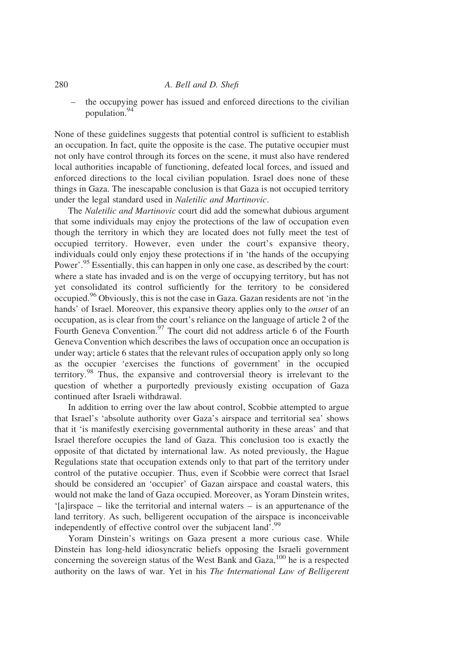the occupying power has issued and enforced directions to the civilian population.<sup>94</sup>

None of these guidelines suggests that potential control is sufficient to establish an occupation. In fact, quite the opposite is the case. The putative occupier must not only have control through its forces on the scene, it must also have rendered local authorities incapable of functioning, defeated local forces, and issued and enforced directions to the local civilian population. Israel does none of these things in Gaza. The inescapable conclusion is that Gaza is not occupied territory under the legal standard used in Naletilic and Martinovic.

The Naletilic and Martinovic court did add the somewhat dubious argument that some individuals may enjoy the protections of the law of occupation even though the territory in which they are located does not fully meet the test of occupied territory. However, even under the court's expansive theory, individuals could only enjoy these protections if in 'the hands of the occupying Power'.<sup>95</sup> Essentially, this can happen in only one case, as described by the court: where a state has invaded and is on the verge of occupying territory, but has not yet consolidated its control sufficiently for the territory to be considered occupied.<sup>96</sup> Obviously, this is not the case in Gaza. Gazan residents are not 'in the hands' of Israel. Moreover, this expansive theory applies only to the onset of an occupation, as is clear from the court's reliance on the language of article 2 of the Fourth Geneva Convention.<sup>97</sup> The court did not address article 6 of the Fourth Geneva Convention which describes the laws of occupation once an occupation is under way; article 6 states that the relevant rules of occupation apply only so long as the occupier 'exercises the functions of government' in the occupied territory.<sup>98</sup> Thus, the expansive and controversial theory is irrelevant to the question of whether a purportedly previously existing occupation of Gaza continued after Israeli withdrawal.

In addition to erring over the law about control, Scobbie attempted to argue that Israel's 'absolute authority over Gaza's airspace and territorial sea' shows that it 'is manifestly exercising governmental authority in these areas' and that Israel therefore occupies the land of Gaza. This conclusion too is exactly the opposite of that dictated by international law. As noted previously, the Hague Regulations state that occupation extends only to that part of the territory under control of the putative occupier. Thus, even if Scobbie were correct that Israel should be considered an 'occupier' of Gazan airspace and coastal waters, this would not make the land of Gaza occupied. Moreover, as Yoram Dinstein writes, '[a]irspace – like the territorial and internal waters – is an appurtenance of the land territory. As such, belligerent occupation of the airspace is inconceivable independently of effective control over the subjacent land'.<sup>99</sup>

Yoram Dinstein's writings on Gaza present a more curious case. While Dinstein has long-held idiosyncratic beliefs opposing the Israeli government concerning the sovereign status of the West Bank and Gaza,  $100$  he is a respected authority on the laws of war. Yet in his The International Law of Belligerent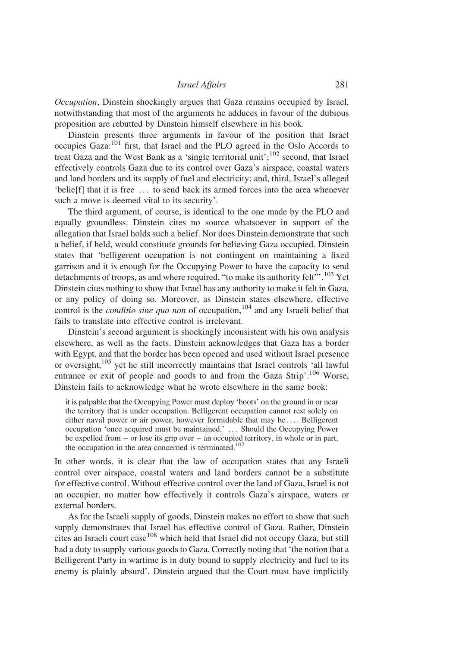Occupation, Dinstein shockingly argues that Gaza remains occupied by Israel, notwithstanding that most of the arguments he adduces in favour of the dubious proposition are rebutted by Dinstein himself elsewhere in his book.

Dinstein presents three arguments in favour of the position that Israel occupies Gaza:<sup>101</sup> first, that Israel and the PLO agreed in the Oslo Accords to treat Gaza and the West Bank as a 'single territorial unit';<sup>102</sup> second, that Israel effectively controls Gaza due to its control over Gaza's airspace, coastal waters and land borders and its supply of fuel and electricity; and, third, Israel's alleged 'belie[f] that it is free ... to send back its armed forces into the area whenever such a move is deemed vital to its security'.

The third argument, of course, is identical to the one made by the PLO and equally groundless. Dinstein cites no source whatsoever in support of the allegation that Israel holds such a belief. Nor does Dinstein demonstrate that such a belief, if held, would constitute grounds for believing Gaza occupied. Dinstein states that 'belligerent occupation is not contingent on maintaining a fixed garrison and it is enough for the Occupying Power to have the capacity to send detachments of troops, as and where required, "to make its authority felt"<sup>'</sup>.<sup>103</sup> Yet Dinstein cites nothing to show that Israel has any authority to make it felt in Gaza, or any policy of doing so. Moreover, as Dinstein states elsewhere, effective control is the *conditio sine qua non* of occupation,<sup>104</sup> and any Israeli belief that fails to translate into effective control is irrelevant.

Dinstein's second argument is shockingly inconsistent with his own analysis elsewhere, as well as the facts. Dinstein acknowledges that Gaza has a border with Egypt, and that the border has been opened and used without Israel presence or oversight,<sup>105</sup> yet he still incorrectly maintains that Israel controls 'all lawful entrance or exit of people and goods to and from the Gaza Strip'.<sup>106</sup> Worse, Dinstein fails to acknowledge what he wrote elsewhere in the same book:

it is palpable that the Occupying Power must deploy 'boots' on the ground in or near the territory that is under occupation. Belligerent occupation cannot rest solely on either naval power or air power, however formidable that may be ... . Belligerent occupation 'once acquired must be maintained.' ... Should the Occupying Power be expelled from – or lose its grip over – an occupied territory, in whole or in part, the occupation in the area concerned is terminated.<sup>107</sup>

In other words, it is clear that the law of occupation states that any Israeli control over airspace, coastal waters and land borders cannot be a substitute for effective control. Without effective control over the land of Gaza, Israel is not an occupier, no matter how effectively it controls Gaza's airspace, waters or external borders.

As for the Israeli supply of goods, Dinstein makes no effort to show that such supply demonstrates that Israel has effective control of Gaza. Rather, Dinstein cites an Israeli court case<sup>108</sup> which held that Israel did not occupy Gaza, but still had a duty to supply various goods to Gaza. Correctly noting that 'the notion that a Belligerent Party in wartime is in duty bound to supply electricity and fuel to its enemy is plainly absurd', Dinstein argued that the Court must have implicitly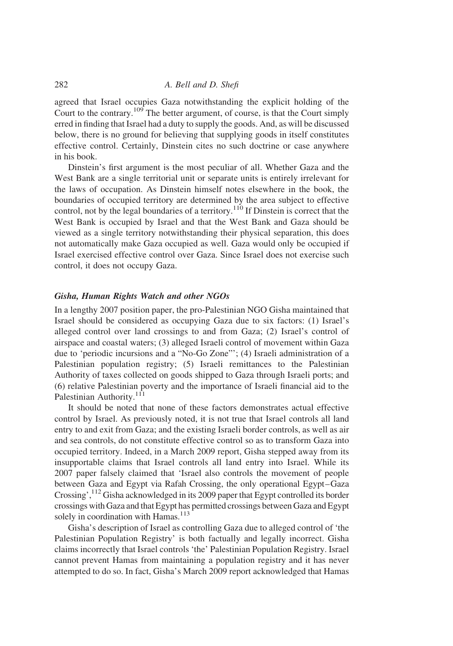agreed that Israel occupies Gaza notwithstanding the explicit holding of the Court to the contrary.<sup>109</sup> The better argument, of course, is that the Court simply erred in finding that Israel had a duty to supply the goods. And, as will be discussed below, there is no ground for believing that supplying goods in itself constitutes effective control. Certainly, Dinstein cites no such doctrine or case anywhere in his book.

Dinstein's first argument is the most peculiar of all. Whether Gaza and the West Bank are a single territorial unit or separate units is entirely irrelevant for the laws of occupation. As Dinstein himself notes elsewhere in the book, the boundaries of occupied territory are determined by the area subject to effective control, not by the legal boundaries of a territory.<sup>110</sup> If Dinstein is correct that the West Bank is occupied by Israel and that the West Bank and Gaza should be viewed as a single territory notwithstanding their physical separation, this does not automatically make Gaza occupied as well. Gaza would only be occupied if Israel exercised effective control over Gaza. Since Israel does not exercise such control, it does not occupy Gaza.

# Gisha, Human Rights Watch and other NGOs

In a lengthy 2007 position paper, the pro-Palestinian NGO Gisha maintained that Israel should be considered as occupying Gaza due to six factors: (1) Israel's alleged control over land crossings to and from Gaza; (2) Israel's control of airspace and coastal waters; (3) alleged Israeli control of movement within Gaza due to 'periodic incursions and a "No-Go Zone"'; (4) Israeli administration of a Palestinian population registry; (5) Israeli remittances to the Palestinian Authority of taxes collected on goods shipped to Gaza through Israeli ports; and (6) relative Palestinian poverty and the importance of Israeli financial aid to the Palestinian Authority.<sup>111</sup>

It should be noted that none of these factors demonstrates actual effective control by Israel. As previously noted, it is not true that Israel controls all land entry to and exit from Gaza; and the existing Israeli border controls, as well as air and sea controls, do not constitute effective control so as to transform Gaza into occupied territory. Indeed, in a March 2009 report, Gisha stepped away from its insupportable claims that Israel controls all land entry into Israel. While its 2007 paper falsely claimed that 'Israel also controls the movement of people between Gaza and Egypt via Rafah Crossing, the only operational Egypt–Gaza Crossing',112 Gisha acknowledged in its 2009 paper that Egypt controlled its border crossings with Gaza and that Egypt has permitted crossings between Gaza and Egypt solely in coordination with Hamas.<sup>113</sup>

Gisha's description of Israel as controlling Gaza due to alleged control of 'the Palestinian Population Registry' is both factually and legally incorrect. Gisha claims incorrectly that Israel controls 'the' Palestinian Population Registry. Israel cannot prevent Hamas from maintaining a population registry and it has never attempted to do so. In fact, Gisha's March 2009 report acknowledged that Hamas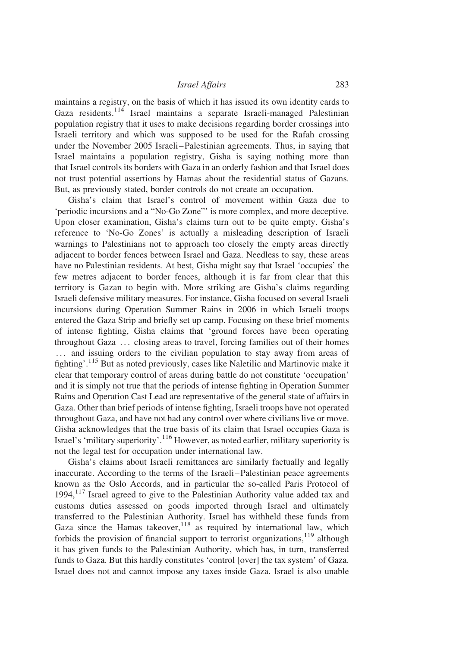maintains a registry, on the basis of which it has issued its own identity cards to Gaza residents.<sup>114</sup> Israel maintains a separate Israeli-managed Palestinian population registry that it uses to make decisions regarding border crossings into Israeli territory and which was supposed to be used for the Rafah crossing under the November 2005 Israeli–Palestinian agreements. Thus, in saying that Israel maintains a population registry, Gisha is saying nothing more than that Israel controls its borders with Gaza in an orderly fashion and that Israel does not trust potential assertions by Hamas about the residential status of Gazans. But, as previously stated, border controls do not create an occupation.

Gisha's claim that Israel's control of movement within Gaza due to 'periodic incursions and a "No-Go Zone"' is more complex, and more deceptive. Upon closer examination, Gisha's claims turn out to be quite empty. Gisha's reference to 'No-Go Zones' is actually a misleading description of Israeli warnings to Palestinians not to approach too closely the empty areas directly adjacent to border fences between Israel and Gaza. Needless to say, these areas have no Palestinian residents. At best, Gisha might say that Israel 'occupies' the few metres adjacent to border fences, although it is far from clear that this territory is Gazan to begin with. More striking are Gisha's claims regarding Israeli defensive military measures. For instance, Gisha focused on several Israeli incursions during Operation Summer Rains in 2006 in which Israeli troops entered the Gaza Strip and briefly set up camp. Focusing on these brief moments of intense fighting, Gisha claims that 'ground forces have been operating throughout Gaza ... closing areas to travel, forcing families out of their homes ... and issuing orders to the civilian population to stay away from areas of fighting'.<sup>115</sup> But as noted previously, cases like Naletilic and Martinovic make it clear that temporary control of areas during battle do not constitute 'occupation' and it is simply not true that the periods of intense fighting in Operation Summer Rains and Operation Cast Lead are representative of the general state of affairs in Gaza. Other than brief periods of intense fighting, Israeli troops have not operated throughout Gaza, and have not had any control over where civilians live or move. Gisha acknowledges that the true basis of its claim that Israel occupies Gaza is Israel's 'military superiority'.116 However, as noted earlier, military superiority is not the legal test for occupation under international law.

Gisha's claims about Israeli remittances are similarly factually and legally inaccurate. According to the terms of the Israeli–Palestinian peace agreements known as the Oslo Accords, and in particular the so-called Paris Protocol of 1994,<sup>117</sup> Israel agreed to give to the Palestinian Authority value added tax and customs duties assessed on goods imported through Israel and ultimately transferred to the Palestinian Authority. Israel has withheld these funds from Gaza since the Hamas takeover,  $118$  as required by international law, which forbids the provision of financial support to terrorist organizations, $119$  although it has given funds to the Palestinian Authority, which has, in turn, transferred funds to Gaza. But this hardly constitutes 'control [over] the tax system' of Gaza. Israel does not and cannot impose any taxes inside Gaza. Israel is also unable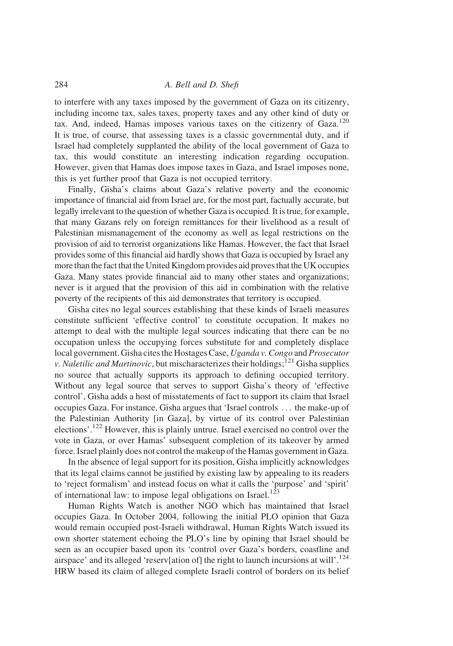to interfere with any taxes imposed by the government of Gaza on its citizenry, including income tax, sales taxes, property taxes and any other kind of duty or tax. And, indeed, Hamas imposes various taxes on the citizenry of Gaza.<sup>120</sup> It is true, of course, that assessing taxes is a classic governmental duty, and if Israel had completely supplanted the ability of the local government of Gaza to tax, this would constitute an interesting indication regarding occupation. However, given that Hamas does impose taxes in Gaza, and Israel imposes none, this is yet further proof that Gaza is not occupied territory.

Finally, Gisha's claims about Gaza's relative poverty and the economic importance of financial aid from Israel are, for the most part, factually accurate, but legally irrelevant to the question of whether Gaza is occupied. It is true, for example, that many Gazans rely on foreign remittances for their livelihood as a result of Palestinian mismanagement of the economy as well as legal restrictions on the provision of aid to terrorist organizations like Hamas. However, the fact that Israel provides some of this financial aid hardly shows that Gaza is occupied by Israel any more than the fact that the United Kingdom provides aid proves that the UK occupies Gaza. Many states provide financial aid to many other states and organizations; never is it argued that the provision of this aid in combination with the relative poverty of the recipients of this aid demonstrates that territory is occupied.

Gisha cites no legal sources establishing that these kinds of Israeli measures constitute sufficient 'effective control' to constitute occupation. It makes no attempt to deal with the multiple legal sources indicating that there can be no occupation unless the occupying forces substitute for and completely displace local government. Gisha cites the Hostages Case, Uganda v. Congo and Prosecutor v. Naletilic and Martinovic, but mischaracterizes their holdings;<sup>121</sup> Gisha supplies no source that actually supports its approach to defining occupied territory. Without any legal source that serves to support Gisha's theory of 'effective control', Gisha adds a host of misstatements of fact to support its claim that Israel occupies Gaza. For instance, Gisha argues that 'Israel controls ... the make-up of the Palestinian Authority [in Gaza], by virtue of its control over Palestinian elections'.122 However, this is plainly untrue. Israel exercised no control over the vote in Gaza, or over Hamas' subsequent completion of its takeover by armed force. Israel plainly does not control the makeup of the Hamas government in Gaza.

In the absence of legal support for its position, Gisha implicitly acknowledges that its legal claims cannot be justified by existing law by appealing to its readers to 'reject formalism' and instead focus on what it calls the 'purpose' and 'spirit' of international law: to impose legal obligations on Israel.<sup>123</sup>

Human Rights Watch is another NGO which has maintained that Israel occupies Gaza. In October 2004, following the initial PLO opinion that Gaza would remain occupied post-Israeli withdrawal, Human Rights Watch issued its own shorter statement echoing the PLO's line by opining that Israel should be seen as an occupier based upon its 'control over Gaza's borders, coastline and airspace' and its alleged 'reserv[ation of] the right to launch incursions at will'.<sup>124</sup> HRW based its claim of alleged complete Israeli control of borders on its belief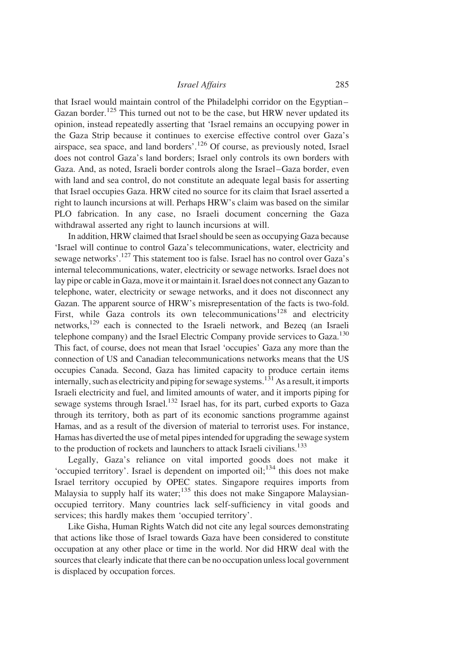that Israel would maintain control of the Philadelphi corridor on the Egyptian– Gazan border.<sup>125</sup> This turned out not to be the case, but HRW never updated its opinion, instead repeatedly asserting that 'Israel remains an occupying power in the Gaza Strip because it continues to exercise effective control over Gaza's airspace, sea space, and land borders'.<sup>126</sup> Of course, as previously noted, Israel does not control Gaza's land borders; Israel only controls its own borders with Gaza. And, as noted, Israeli border controls along the Israel–Gaza border, even with land and sea control, do not constitute an adequate legal basis for asserting that Israel occupies Gaza. HRW cited no source for its claim that Israel asserted a right to launch incursions at will. Perhaps HRW's claim was based on the similar PLO fabrication. In any case, no Israeli document concerning the Gaza withdrawal asserted any right to launch incursions at will.

In addition, HRW claimed that Israel should be seen as occupying Gaza because 'Israel will continue to control Gaza's telecommunications, water, electricity and sewage networks'.<sup>127</sup> This statement too is false. Israel has no control over Gaza's internal telecommunications, water, electricity or sewage networks. Israel does not lay pipe or cable in Gaza, move it or maintain it. Israel does not connect any Gazan to telephone, water, electricity or sewage networks, and it does not disconnect any Gazan. The apparent source of HRW's misrepresentation of the facts is two-fold. First, while Gaza controls its own telecommunications<sup>128</sup> and electricity networks,129 each is connected to the Israeli network, and Bezeq (an Israeli telephone company) and the Israel Electric Company provide services to Gaza.<sup>130</sup> This fact, of course, does not mean that Israel 'occupies' Gaza any more than the connection of US and Canadian telecommunications networks means that the US occupies Canada. Second, Gaza has limited capacity to produce certain items internally, such as electricity and piping for sewage systems.<sup>131</sup> As a result, it imports Israeli electricity and fuel, and limited amounts of water, and it imports piping for sewage systems through Israel.<sup>132</sup> Israel has, for its part, curbed exports to Gaza through its territory, both as part of its economic sanctions programme against Hamas, and as a result of the diversion of material to terrorist uses. For instance, Hamas has diverted the use of metal pipes intended for upgrading the sewage system to the production of rockets and launchers to attack Israeli civilians.<sup>133</sup>

Legally, Gaza's reliance on vital imported goods does not make it 'occupied territory'. Israel is dependent on imported oil;<sup>134</sup> this does not make Israel territory occupied by OPEC states. Singapore requires imports from Malaysia to supply half its water; $135$  this does not make Singapore Malaysianoccupied territory. Many countries lack self-sufficiency in vital goods and services; this hardly makes them 'occupied territory'.

Like Gisha, Human Rights Watch did not cite any legal sources demonstrating that actions like those of Israel towards Gaza have been considered to constitute occupation at any other place or time in the world. Nor did HRW deal with the sources that clearly indicate that there can be no occupation unless local government is displaced by occupation forces.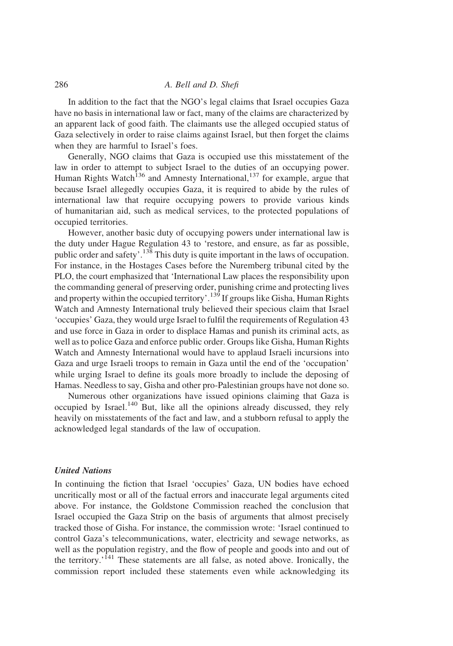In addition to the fact that the NGO's legal claims that Israel occupies Gaza have no basis in international law or fact, many of the claims are characterized by an apparent lack of good faith. The claimants use the alleged occupied status of Gaza selectively in order to raise claims against Israel, but then forget the claims when they are harmful to Israel's foes.

Generally, NGO claims that Gaza is occupied use this misstatement of the law in order to attempt to subject Israel to the duties of an occupying power. Human Rights Watch<sup>136</sup> and Amnesty International,<sup>137</sup> for example, argue that because Israel allegedly occupies Gaza, it is required to abide by the rules of international law that require occupying powers to provide various kinds of humanitarian aid, such as medical services, to the protected populations of occupied territories.

However, another basic duty of occupying powers under international law is the duty under Hague Regulation 43 to 'restore, and ensure, as far as possible, public order and safety'.<sup>138</sup> This duty is quite important in the laws of occupation. For instance, in the Hostages Cases before the Nuremberg tribunal cited by the PLO, the court emphasized that 'International Law places the responsibility upon the commanding general of preserving order, punishing crime and protecting lives and property within the occupied territory'.<sup>139</sup> If groups like Gisha, Human Rights Watch and Amnesty International truly believed their specious claim that Israel 'occupies' Gaza, they would urge Israel to fulfil the requirements of Regulation 43 and use force in Gaza in order to displace Hamas and punish its criminal acts, as well as to police Gaza and enforce public order. Groups like Gisha, Human Rights Watch and Amnesty International would have to applaud Israeli incursions into Gaza and urge Israeli troops to remain in Gaza until the end of the 'occupation' while urging Israel to define its goals more broadly to include the deposing of Hamas. Needless to say, Gisha and other pro-Palestinian groups have not done so.

Numerous other organizations have issued opinions claiming that Gaza is occupied by Israel. $140$  But, like all the opinions already discussed, they rely heavily on misstatements of the fact and law, and a stubborn refusal to apply the acknowledged legal standards of the law of occupation.

# United Nations

In continuing the fiction that Israel 'occupies' Gaza, UN bodies have echoed uncritically most or all of the factual errors and inaccurate legal arguments cited above. For instance, the Goldstone Commission reached the conclusion that Israel occupied the Gaza Strip on the basis of arguments that almost precisely tracked those of Gisha. For instance, the commission wrote: 'Israel continued to control Gaza's telecommunications, water, electricity and sewage networks, as well as the population registry, and the flow of people and goods into and out of the territory.<sup>'141</sup> These statements are all false, as noted above. Ironically, the commission report included these statements even while acknowledging its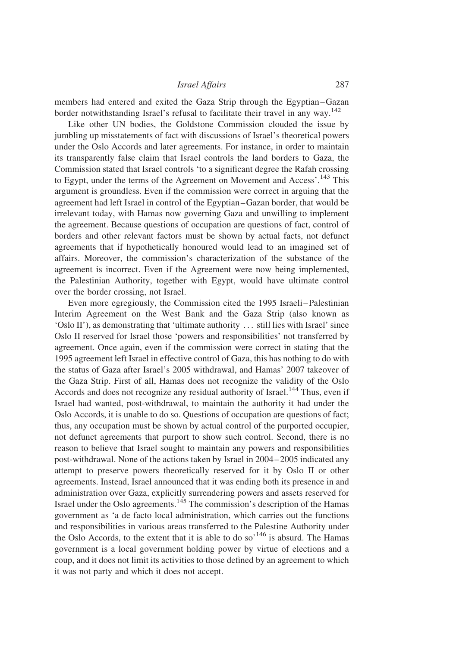members had entered and exited the Gaza Strip through the Egyptian–Gazan border notwithstanding Israel's refusal to facilitate their travel in any way.<sup>142</sup>

Like other UN bodies, the Goldstone Commission clouded the issue by jumbling up misstatements of fact with discussions of Israel's theoretical powers under the Oslo Accords and later agreements. For instance, in order to maintain its transparently false claim that Israel controls the land borders to Gaza, the Commission stated that Israel controls 'to a significant degree the Rafah crossing to Egypt, under the terms of the Agreement on Movement and Access'.<sup>143</sup> This argument is groundless. Even if the commission were correct in arguing that the agreement had left Israel in control of the Egyptian–Gazan border, that would be irrelevant today, with Hamas now governing Gaza and unwilling to implement the agreement. Because questions of occupation are questions of fact, control of borders and other relevant factors must be shown by actual facts, not defunct agreements that if hypothetically honoured would lead to an imagined set of affairs. Moreover, the commission's characterization of the substance of the agreement is incorrect. Even if the Agreement were now being implemented, the Palestinian Authority, together with Egypt, would have ultimate control over the border crossing, not Israel.

Even more egregiously, the Commission cited the 1995 Israeli–Palestinian Interim Agreement on the West Bank and the Gaza Strip (also known as 'Oslo II'), as demonstrating that 'ultimate authority ... still lies with Israel' since Oslo II reserved for Israel those 'powers and responsibilities' not transferred by agreement. Once again, even if the commission were correct in stating that the 1995 agreement left Israel in effective control of Gaza, this has nothing to do with the status of Gaza after Israel's 2005 withdrawal, and Hamas' 2007 takeover of the Gaza Strip. First of all, Hamas does not recognize the validity of the Oslo Accords and does not recognize any residual authority of Israel.<sup>144</sup> Thus, even if Israel had wanted, post-withdrawal, to maintain the authority it had under the Oslo Accords, it is unable to do so. Questions of occupation are questions of fact; thus, any occupation must be shown by actual control of the purported occupier, not defunct agreements that purport to show such control. Second, there is no reason to believe that Israel sought to maintain any powers and responsibilities post-withdrawal. None of the actions taken by Israel in 2004–2005 indicated any attempt to preserve powers theoretically reserved for it by Oslo II or other agreements. Instead, Israel announced that it was ending both its presence in and administration over Gaza, explicitly surrendering powers and assets reserved for Israel under the Oslo agreements.<sup>145</sup> The commission's description of the Hamas government as 'a de facto local administration, which carries out the functions and responsibilities in various areas transferred to the Palestine Authority under the Oslo Accords, to the extent that it is able to do so<sup> $146$ </sup> is absurd. The Hamas government is a local government holding power by virtue of elections and a coup, and it does not limit its activities to those defined by an agreement to which it was not party and which it does not accept.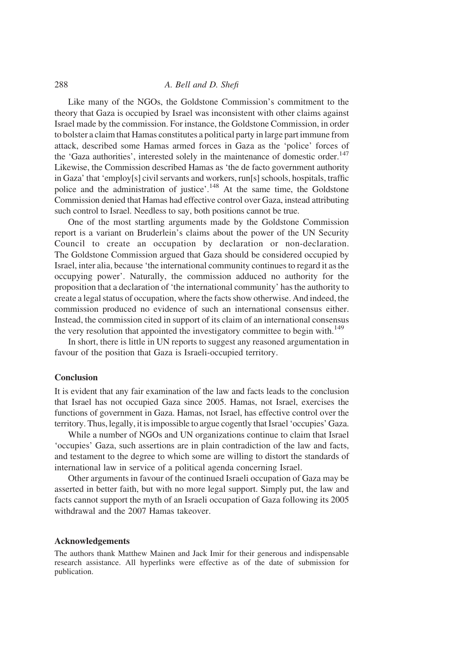Like many of the NGOs, the Goldstone Commission's commitment to the theory that Gaza is occupied by Israel was inconsistent with other claims against Israel made by the commission. For instance, the Goldstone Commission, in order to bolster a claim that Hamas constitutes a political party in large part immune from attack, described some Hamas armed forces in Gaza as the 'police' forces of the 'Gaza authorities', interested solely in the maintenance of domestic order.<sup>147</sup> Likewise, the Commission described Hamas as 'the de facto government authority in Gaza' that 'employ[s] civil servants and workers, run[s] schools, hospitals, traffic police and the administration of justice'.<sup>148</sup> At the same time, the Goldstone Commission denied that Hamas had effective control over Gaza, instead attributing such control to Israel. Needless to say, both positions cannot be true.

One of the most startling arguments made by the Goldstone Commission report is a variant on Bruderlein's claims about the power of the UN Security Council to create an occupation by declaration or non-declaration. The Goldstone Commission argued that Gaza should be considered occupied by Israel, inter alia, because 'the international community continues to regard it as the occupying power'. Naturally, the commission adduced no authority for the proposition that a declaration of 'the international community' has the authority to create a legal status of occupation, where the facts show otherwise. And indeed, the commission produced no evidence of such an international consensus either. Instead, the commission cited in support of its claim of an international consensus the very resolution that appointed the investigatory committee to begin with.<sup>149</sup>

In short, there is little in UN reports to suggest any reasoned argumentation in favour of the position that Gaza is Israeli-occupied territory.

#### Conclusion

It is evident that any fair examination of the law and facts leads to the conclusion that Israel has not occupied Gaza since 2005. Hamas, not Israel, exercises the functions of government in Gaza. Hamas, not Israel, has effective control over the territory. Thus, legally, it is impossible to argue cogently that Israel 'occupies' Gaza.

While a number of NGOs and UN organizations continue to claim that Israel 'occupies' Gaza, such assertions are in plain contradiction of the law and facts, and testament to the degree to which some are willing to distort the standards of international law in service of a political agenda concerning Israel.

Other arguments in favour of the continued Israeli occupation of Gaza may be asserted in better faith, but with no more legal support. Simply put, the law and facts cannot support the myth of an Israeli occupation of Gaza following its 2005 withdrawal and the 2007 Hamas takeover.

#### Acknowledgements

The authors thank Matthew Mainen and Jack Imir for their generous and indispensable research assistance. All hyperlinks were effective as of the date of submission for publication.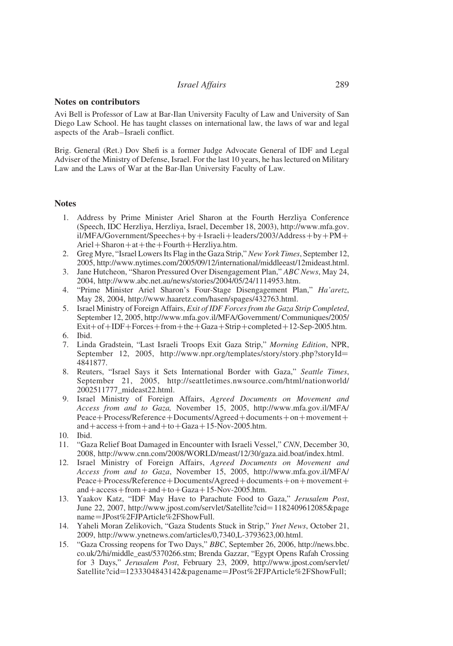#### Notes on contributors

Avi Bell is Professor of Law at Bar-Ilan University Faculty of Law and University of San Diego Law School. He has taught classes on international law, the laws of war and legal aspects of the Arab–Israeli conflict.

Brig. General (Ret.) Dov Shefi is a former Judge Advocate General of IDF and Legal Adviser of the Ministry of Defense, Israel. For the last 10 years, he has lectured on Military Law and the Laws of War at the Bar-Ilan University Faculty of Law.

#### **Notes**

- 1. Address by Prime Minister Ariel Sharon at the Fourth Herzliya Conference (Speech, IDC Herzliya, Herzliya, Israel, December 18, 2003), http://www.mfa.gov.  $i$ l/MFA/Government/Speeches+by+Israeli+leaders/2003/Address+by+PM+  $Ariel + Sharon + at + the + Fourth + Herzliya.htm.$
- 2. Greg Myre, "Israel Lowers Its Flag in the Gaza Strip," New York Times, September 12, 2005, http://www.nytimes.com/2005/09/12/international/middleeast/12mideast.html.
- 3. Jane Hutcheon, "Sharon Pressured Over Disengagement Plan," ABC News, May 24, 2004, http://www.abc.net.au/news/stories/2004/05/24/1114953.htm.
- 4. "Prime Minister Ariel Sharon's Four-Stage Disengagement Plan," Ha'aretz, May 28, 2004, http://www.haaretz.com/hasen/spages/432763.html.
- 5. Israel Ministry of Foreign Affairs, Exit of IDF Forces from the Gaza Strip Completed, September 12, 2005, http://www.mfa.gov.il/MFA/Government/ Communiques/2005/  $Exit+of+IDF+Forces+from+the+Gaza+Strip+completed+12-Sep-2005.htm.$
- 6. Ibid.
- 7. Linda Gradstein, "Last Israeli Troops Exit Gaza Strip," Morning Edition, NPR, September 12, 2005, http://www.npr.org/templates/story/story.php?storyId= 4841877.
- 8. Reuters, "Israel Says it Sets International Border with Gaza," Seattle Times, September 21, 2005, http://seattletimes.nwsource.com/html/nationworld/ 2002511777\_mideast22.html.
- 9. Israel Ministry of Foreign Affairs, Agreed Documents on Movement and Access from and to Gaza, November 15, 2005, http://www.mfa.gov.il/MFA/ Peace+Process/Reference+Documents/Agreed+documents+on+movement+ and +  $access + from + and + to + Gaza + 15 - Nov-2005.htm$ .
- 10. Ibid.
- 11. "Gaza Relief Boat Damaged in Encounter with Israeli Vessel," CNN, December 30, 2008, http://www.cnn.com/2008/WORLD/meast/12/30/gaza.aid.boat/index.html.
- 12. Israel Ministry of Foreign Affairs, Agreed Documents on Movement and Access from and to Gaza, November 15, 2005, http://www.mfa.gov.il/MFA/ Peace+Process/Reference+Documents/Agreed+documents+on+movement+ and +  $access + from + and + to + Gaza + 15 - Nov-2005.htm$ .
- 13. Yaakov Katz, "IDF May Have to Parachute Food to Gaza," Jerusalem Post, June 22, 2007, http://www.jpost.com/servlet/Satellite?cid=1182409612085&page name=JPost%2FJPArticle%2FShowFull.
- 14. Yaheli Moran Zelikovich, "Gaza Students Stuck in Strip," Ynet News, October 21, 2009, http://www.ynetnews.com/articles/0,7340,L-3793623,00.html.
- 15. "Gaza Crossing reopens for Two Days," BBC, September 26, 2006, http://news.bbc. co.uk/2/hi/middle\_east/5370266.stm; Brenda Gazzar, "Egypt Opens Rafah Crossing for 3 Days," Jerusalem Post, February 23, 2009, http://www.jpost.com/servlet/ Satellite?cid=1233304843142&pagename=JPost%2FJPArticle%2FShowFull;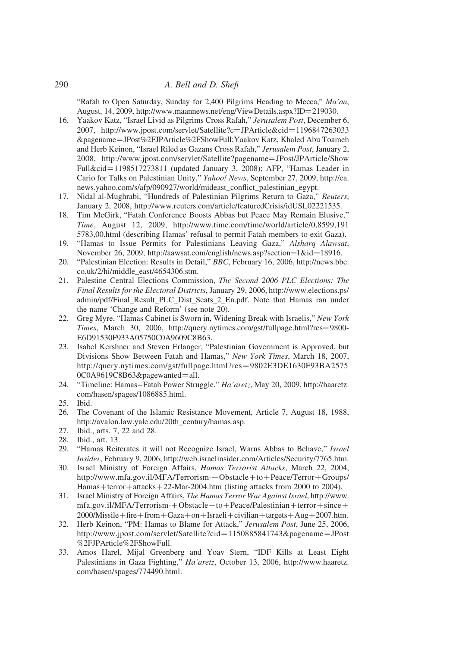"Rafah to Open Saturday, Sunday for 2,400 Pilgrims Heading to Mecca," Ma'an, August, 14, 2009, http://www.maannews.net/eng/ViewDetails.aspx?ID=219030.

- 16. Yaakov Katz, "Israel Livid as Pilgrims Cross Rafah," Jerusalem Post, December 6, 2007, http://www.jpost.com/servlet/Satellite?c=JPArticle&cid=1196847263033 &pagename¼JPost%2FJPArticle%2FShowFull;Yaakov Katz, Khaled Abu Toameh and Herb Keinon, "Israel Riled as Gazans Cross Rafah," Jerusalem Post, January 2, 2008, http://www.jpost.com/servlet/Satellite?pagename=JPost/JPArticle/Show Full&cid=1198517273811 (updated January 3, 2008); AFP, "Hamas Leader in Cario for Talks on Palestinian Unity," Yahoo! News, September 27, 2009, http://ca. news.yahoo.com/s/afp/090927/world/mideast\_conflict\_palestinian\_egypt.
- 17. Nidal al-Mughrabi, "Hundreds of Palestinian Pilgrims Return to Gaza," Reuters, January 2, 2008, http://www.reuters.com/article/featuredCrisis/idUSL02221535.
- 18. Tim McGirk, "Fatah Conference Boosts Abbas but Peace May Remain Elusive," Time, August 12, 2009, http://www.time.com/time/world/article/0,8599,191 5783,00.html (describing Hamas' refusal to permit Fatah members to exit Gaza).
- 19. "Hamas to Issue Permits for Palestinians Leaving Gaza," Alsharq Alawsat, November 26, 2009, http://aawsat.com/english/news.asp?section=1&id=18916.
- 20. "Palestinian Election: Results in Detail," BBC, February 16, 2006, http://news.bbc. co.uk/2/hi/middle\_east/4654306.stm.
- 21. Palestine Central Elections Commission, The Second 2006 PLC Elections: The Final Results for the Electoral Districts, January 29, 2006, http://www.elections.ps/ admin/pdf/Final\_Result\_PLC\_Dist\_Seats\_2\_En.pdf. Note that Hamas ran under the name 'Change and Reform' (see note 20).
- 22. Greg Myre, "Hamas Cabinet is Sworn in, Widening Break with Israelis," New York Times, March 30, 2006, http://query.nytimes.com/gst/fullpage.html?res=9800-E6D91530F933A05750C0A9609C8B63.
- 23. Isabel Kershner and Steven Erlanger, "Palestinian Government is Approved, but Divisions Show Between Fatah and Hamas," New York Times, March 18, 2007, http://query.nytimes.com/gst/fullpage.html?res=9802E3DE1630F93BA2575 0C0A9619C8B63&pagewanted=all.
- 24. "Timeline: Hamas–Fatah Power Struggle," Ha'aretz, May 20, 2009, http://haaretz. com/hasen/spages/1086885.html.
- 25. Ibid.
- 26. The Covenant of the Islamic Resistance Movement, Article 7, August 18, 1988, http://avalon.law.yale.edu/20th\_century/hamas.asp.
- 27. Ibid., arts. 7, 22 and 28.
- 28. Ibid., art. 13.<br>29. "Hamas Reite
- "Hamas Reiterates it will not Recognize Israel, Warns Abbas to Behave," Israel Insider, February 9, 2006, http://web.israelinsider.com/Articles/Security/7765.htm.
- 30. Israel Ministry of Foreign Affairs, Hamas Terrorist Attacks, March 22, 2004, http://www.mfa.gov.il/MFA/Terrorism-+Obstacle+to+Peace/Terror+Groups/  $Hamas + terror + attacks + 22-Mar-2004.htm$  (listing attacks from 2000 to 2004).
- 31. Israel Ministry of Foreign Affairs, The Hamas Terror War Against Israel, http://www. mfa.gov.il/MFA/Terrorism-+Obstacle+to+Peace/Palestinian+terror+since+  $2000$ /Missile + fire + from + Gaza + on + Israeli + civilian + targets + Aug + 2007.htm.
- 32. Herb Keinon, "PM: Hamas to Blame for Attack," Jerusalem Post, June 25, 2006, http://www.jpost.com/servlet/Satellite?cid=1150885841743&pagename=JPost %2FJPArticle%2FShowFull.
- 33. Amos Harel, Mijal Greenberg and Yoav Stern, "IDF Kills at Least Eight Palestinians in Gaza Fighting," Ha'aretz, October 13, 2006, http://www.haaretz. com/hasen/spages/774490.html.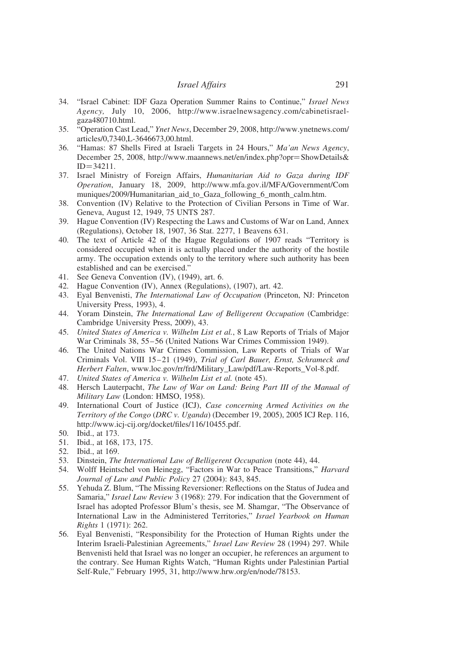- 34. "Israel Cabinet: IDF Gaza Operation Summer Rains to Continue," Israel News Agency, July 10, 2006, http://www.israelnewsagency.com/cabinetisraelgaza480710.html.
- 35. "Operation Cast Lead," Ynet News, December 29, 2008, http://www.ynetnews.com/ articles/0,7340,L-3646673,00.html.
- 36. "Hamas: 87 Shells Fired at Israeli Targets in 24 Hours," Ma'an News Agency, December 25, 2008, http://www.maannews.net/en/index.php?opr=ShowDetails&  $ID = 34211.$
- 37. Israel Ministry of Foreign Affairs, Humanitarian Aid to Gaza during IDF Operation, January 18, 2009, http://www.mfa.gov.il/MFA/Government/Com muniques/2009/Humanitarian\_aid\_to\_Gaza\_following\_6\_month\_calm.htm.
- 38. Convention (IV) Relative to the Protection of Civilian Persons in Time of War. Geneva, August 12, 1949, 75 UNTS 287.
- 39. Hague Convention (IV) Respecting the Laws and Customs of War on Land, Annex (Regulations), October 18, 1907, 36 Stat. 2277, 1 Beavens 631.
- 40. The text of Article 42 of the Hague Regulations of 1907 reads "Territory is considered occupied when it is actually placed under the authority of the hostile army. The occupation extends only to the territory where such authority has been established and can be exercised."
- 41. See Geneva Convention (IV), (1949), art. 6.
- 42. Hague Convention (IV), Annex (Regulations), (1907), art. 42.
- 43. Eyal Benvenisti, The International Law of Occupation (Princeton, NJ: Princeton University Press, 1993), 4.
- 44. Yoram Dinstein, The International Law of Belligerent Occupation (Cambridge: Cambridge University Press, 2009), 43.
- 45. United States of America v. Wilhelm List et al., 8 Law Reports of Trials of Major War Criminals 38, 55–56 (United Nations War Crimes Commission 1949).
- 46. The United Nations War Crimes Commission, Law Reports of Trials of War Criminals Vol. VIII 15–21 (1949), Trial of Carl Bauer, Ernst, Schrameck and Herbert Falten, www.loc.gov/rr/frd/Military\_Law/pdf/Law-Reports\_Vol-8.pdf.
- 47. United States of America v. Wilhelm List et al. (note 45).
- 48. Hersch Lauterpacht, The Law of War on Land: Being Part III of the Manual of Military Law (London: HMSO, 1958).
- 49. International Court of Justice (ICJ), Case concerning Armed Activities on the Territory of the Congo (DRC v. Uganda) (December 19, 2005), 2005 ICJ Rep. 116, http://www.icj-cij.org/docket/files/116/10455.pdf.
- 50. Ibid., at 173.
- 51. Ibid., at 168, 173, 175.
- 52. Ibid., at 169.
- 53. Dinstein, The International Law of Belligerent Occupation (note 44), 44.
- 54. Wolff Heintschel von Heinegg, "Factors in War to Peace Transitions," Harvard Journal of Law and Public Policy 27 (2004): 843, 845.
- 55. Yehuda Z. Blum, "The Missing Reversioner: Reflections on the Status of Judea and Samaria," Israel Law Review 3 (1968): 279. For indication that the Government of Israel has adopted Professor Blum's thesis, see M. Shamgar, "The Observance of International Law in the Administered Territories," Israel Yearbook on Human Rights 1 (1971): 262.
- 56. Eyal Benvenisti, "Responsibility for the Protection of Human Rights under the Interim Israeli-Palestinian Agreements," Israel Law Review 28 (1994) 297. While Benvenisti held that Israel was no longer an occupier, he references an argument to the contrary. See Human Rights Watch, "Human Rights under Palestinian Partial Self-Rule," February 1995, 31, http://www.hrw.org/en/node/78153.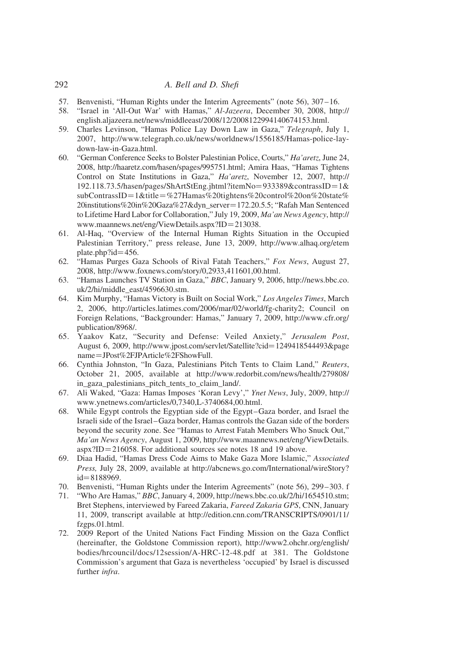- 57. Benvenisti, "Human Rights under the Interim Agreements" (note 56), 307–16.
- 58. "Israel in 'All-Out War' with Hamas," Al-Jazeera, December 30, 2008, http:// english.aljazeera.net/news/middleeast/2008/12/2008122994140674153.html.
- 59. Charles Levinson, "Hamas Police Lay Down Law in Gaza," Telegraph, July 1, 2007, http://www.telegraph.co.uk/news/worldnews/1556185/Hamas-police-laydown-law-in-Gaza.html.
- 60. "German Conference Seeks to Bolster Palestinian Police, Courts," Ha'aretz, June 24, 2008, http://haaretz.com/hasen/spages/995751.html; Amira Haas, "Hamas Tightens Control on State Institutions in Gaza," Ha'aretz, November 12, 2007, http:// 192.118.73.5/hasen/pages/ShArtStEng.jhtml?itemNo=933389&contrassID=1&  $subContrassID = 1$ &title = %27Hamas %20tightens %20control %20on %20state % 20institutions%20in%20Gaza%27&dyn\_server=172.20.5.5; "Rafah Man Sentenced to Lifetime Hard Labor for Collaboration," July 19, 2009, Ma'an News Agency, http:// www.maannews.net/eng/ViewDetails.aspx?ID=213038.
- 61. Al-Haq, "Overview of the Internal Human Rights Situation in the Occupied Palestinian Territory," press release, June 13, 2009, http://www.alhaq.org/etem  $plate.php?id=456.$
- 62. "Hamas Purges Gaza Schools of Rival Fatah Teachers," Fox News, August 27, 2008, http://www.foxnews.com/story/0,2933,411601,00.html.
- 63. "Hamas Launches TV Station in Gaza," BBC, January 9, 2006, http://news.bbc.co. uk/2/hi/middle\_east/4596630.stm.
- 64. Kim Murphy, "Hamas Victory is Built on Social Work," Los Angeles Times, March 2, 2006, http://articles.latimes.com/2006/mar/02/world/fg-charity2; Council on Foreign Relations, "Backgrounder: Hamas," January 7, 2009, http://www.cfr.org/ publication/8968/.
- 65. Yaakov Katz, "Security and Defense: Veiled Anxiety," Jerusalem Post, August 6, 2009, http://www.jpost.com/servlet/Satellite?cid=1249418544493&page name=JPost%2FJPArticle%2FShowFull.
- 66. Cynthia Johnston, "In Gaza, Palestinians Pitch Tents to Claim Land," Reuters, October 21, 2005, available at http://www.redorbit.com/news/health/279808/ in\_gaza\_palestinians\_pitch\_tents\_to\_claim\_land/.
- 67. Ali Waked, "Gaza: Hamas Imposes 'Koran Levy'," Ynet News, July, 2009, http:// www.ynetnews.com/articles/0,7340,L-3740684,00.html.
- 68. While Egypt controls the Egyptian side of the Egypt–Gaza border, and Israel the Israeli side of the Israel–Gaza border, Hamas controls the Gazan side of the borders beyond the security zone. See "Hamas to Arrest Fatah Members Who Snuck Out," Ma'an News Agency, August 1, 2009, http://www.maannews.net/eng/ViewDetails.  $a$ spx?ID = 216058. For additional sources see notes 18 and 19 above.
- 69. Diaa Hadid, "Hamas Dress Code Aims to Make Gaza More Islamic," Associated Press, July 28, 2009, available at http://abcnews.go.com/International/wireStory?  $id = 8188969.$
- 70. Benvenisti, "Human Rights under the Interim Agreements" (note 56), 299–303. f
- 71. "Who Are Hamas," BBC, January 4, 2009, http://news.bbc.co.uk/2/hi/1654510.stm; Bret Stephens, interviewed by Fareed Zakaria, Fareed Zakaria GPS, CNN, January 11, 2009, transcript available at http://edition.cnn.com/TRANSCRIPTS/0901/11/ fzgps.01.html.
- 72. 2009 Report of the United Nations Fact Finding Mission on the Gaza Conflict (hereinafter, the Goldstone Commission report), http://www2.ohchr.org/english/ bodies/hrcouncil/docs/12session/A-HRC-12-48.pdf at 381. The Goldstone Commission's argument that Gaza is nevertheless 'occupied' by Israel is discussed further infra.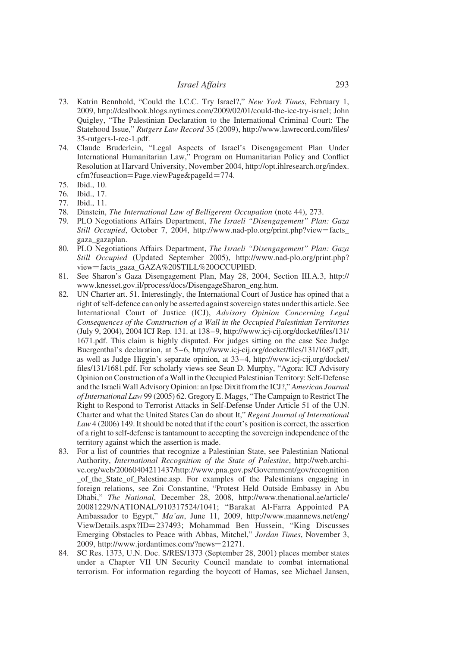- 73. Katrin Bennhold, "Could the I.C.C. Try Israel?," New York Times, February 1, 2009, http://dealbook.blogs.nytimes.com/2009/02/01/could-the-icc-try-israel; John Quigley, "The Palestinian Declaration to the International Criminal Court: The Statehood Issue," Rutgers Law Record 35 (2009), http://www.lawrecord.com/files/ 35-rutgers-l-rec-1.pdf.
- 74. Claude Bruderlein, "Legal Aspects of Israel's Disengagement Plan Under International Humanitarian Law," Program on Humanitarian Policy and Conflict Resolution at Harvard University, November 2004, http://opt.ihlresearch.org/index.  $cfm?fuseaction = Page.viewPage\&pageId = 774.$
- 75. Ibid., 10.
- 76. Ibid., 17.
- 77. Ibid., 11.
- 78. Dinstein, The International Law of Belligerent Occupation (note 44), 273.
- 79. PLO Negotiations Affairs Department, The Israeli "Disengagement" Plan: Gaza Still Occupied, October 7, 2004, http://www.nad-plo.org/print.php?view=facts gaza\_gazaplan.
- 80. PLO Negotiations Affairs Department, The Israeli "Disengagement" Plan: Gaza Still Occupied (Updated September 2005), http://www.nad-plo.org/print.php? view=facts\_gaza\_GAZA%20STILL%20OCCUPIED.
- 81. See Sharon's Gaza Disengagement Plan, May 28, 2004, Section III.A.3, http:// www.knesset.gov.il/process/docs/DisengageSharon\_eng.htm.
- 82. UN Charter art. 51. Interestingly, the International Court of Justice has opined that a right of self-defence can only be asserted against sovereign states under this article. See International Court of Justice (ICJ), Advisory Opinion Concerning Legal Consequences of the Construction of a Wall in the Occupied Palestinian Territories (July 9, 2004), 2004 ICJ Rep. 131. at 138–9, http://www.icj-cij.org/docket/files/131/ 1671.pdf. This claim is highly disputed. For judges sitting on the case See Judge Buergenthal's declaration, at 5–6, http://www.icj-cij.org/docket/files/131/1687.pdf; as well as Judge Higgin's separate opinion, at 33–4, http://www.icj-cij.org/docket/ files/131/1681.pdf. For scholarly views see Sean D. Murphy, "Agora: ICJ Advisory Opinion on Construction of a Wall in the Occupied Palestinian Territory: Self-Defense and the Israeli Wall Advisory Opinion: an Ipse Dixit from the ICJ?," American Journal of International Law 99 (2005) 62. Gregory E. Maggs, "The Campaign to Restrict The Right to Respond to Terrorist Attacks in Self-Defense Under Article 51 of the U.N. Charter and what the United States Can do about It," Regent Journal of International Law 4 (2006) 149. It should be noted that if the court's position is correct, the assertion of a right to self-defense is tantamount to accepting the sovereign independence of the territory against which the assertion is made.
- 83. For a list of countries that recognize a Palestinian State, see Palestinian National Authority, International Recognition of the State of Palestine, http://web.archive.org/web/20060404211437/http://www.pna.gov.ps/Government/gov/recognition \_of\_the\_State\_of\_Palestine.asp. For examples of the Palestinians engaging in foreign relations, see Zoi Constantine, "Protest Held Outside Embassy in Abu Dhabi," The National, December 28, 2008, http://www.thenational.ae/article/ 20081229/NATIONAL/910317524/1041; "Barakat Al-Farra Appointed PA Ambassador to Egypt," Ma'an, June 11, 2009, http://www.maannews.net/eng/ ViewDetails.aspx?ID=237493; Mohammad Ben Hussein, "King Discusses Emerging Obstacles to Peace with Abbas, Mitchel," Jordan Times, November 3, 2009, http://www.jordantimes.com/?news=21271.
- 84. SC Res. 1373, U.N. Doc. S/RES/1373 (September 28, 2001) places member states under a Chapter VII UN Security Council mandate to combat international terrorism. For information regarding the boycott of Hamas, see Michael Jansen,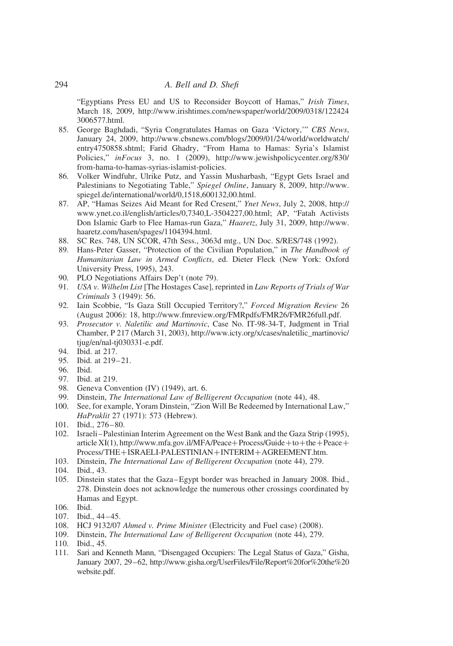"Egyptians Press EU and US to Reconsider Boycott of Hamas," Irish Times, March 18, 2009, http://www.irishtimes.com/newspaper/world/2009/0318/122424 3006577.html.

- 85. George Baghdadi, "Syria Congratulates Hamas on Gaza 'Victory,'" CBS News, January 24, 2009, http://www.cbsnews.com/blogs/2009/01/24/world/worldwatch/ entry4750858.shtml; Farid Ghadry, "From Hama to Hamas: Syria's Islamist Policies," inFocus 3, no. 1 (2009), http://www.jewishpolicycenter.org/830/ from-hama-to-hamas-syrias-islamist-policies.
- 86. Volker Windfuhr, Ulrike Putz, and Yassin Musharbash, "Egypt Gets Israel and Palestinians to Negotiating Table," Spiegel Online, January 8, 2009, http://www. spiegel.de/international/world/0,1518,600132,00.html.
- 87. AP, "Hamas Seizes Aid Meant for Red Cresent," Ynet News, July 2, 2008, http:// www.ynet.co.il/english/articles/0,7340,L-3504227,00.html; AP, "Fatah Activists Don Islamic Garb to Flee Hamas-run Gaza," Haaretz, July 31, 2009, http://www. haaretz.com/hasen/spages/1104394.html.
- 88. SC Res. 748, UN SCOR, 47th Sess., 3063d mtg., UN Doc. S/RES/748 (1992).
- 89. Hans-Peter Gasser, "Protection of the Civilian Population," in The Handbook of Humanitarian Law in Armed Conflicts, ed. Dieter Fleck (New York: Oxford University Press, 1995), 243.
- 90. PLO Negotiations Affairs Dep't (note 79).
- 91. USA v. Wilhelm List [The Hostages Case], reprinted in Law Reports of Trials of War Criminals 3 (1949): 56.
- 92. Iain Scobbie, "Is Gaza Still Occupied Territory?," Forced Migration Review 26 (August 2006): 18, http://www.fmreview.org/FMRpdfs/FMR26/FMR26full.pdf.
- 93. Prosecutor v. Naletilic and Martinovic, Case No. IT-98-34-T, Judgment in Trial Chamber, P 217 (March 31, 2003), http://www.icty.org/x/cases/naletilic\_martinovic/ tiug/en/nal-ti030331-e.pdf.
- 94. Ibid. at 217. 95. Ibid. at 219–21.
- 
- 96. Ibid.
- 97. Ibid. at 219.
- 98. Geneva Convention (IV) (1949), art. 6.
- 99. Dinstein, The International Law of Belligerent Occupation (note 44), 48.
- 100. See, for example, Yoram Dinstein, "Zion Will Be Redeemed by International Law," HaPraklit 27 (1971): 573 (Hebrew).
- 101. Ibid., 276–80.
- 102. Israeli–Palestinian Interim Agreement on the West Bank and the Gaza Strip (1995), article XI(1), http://www.mfa.gov.il/MFA/Peace+Process/Guide+to+the+Peace+ Process/THE+ISRAELI-PALESTINIAN+INTERIM+AGREEMENT.htm.
- 103. Dinstein, The International Law of Belligerent Occupation (note 44), 279.
- 104. Ibid., 43.
- 105. Dinstein states that the Gaza–Egypt border was breached in January 2008. Ibid., 278. Dinstein does not acknowledge the numerous other crossings coordinated by Hamas and Egypt.
- 106. Ibid.
- 107. Ibid., 44–45.
- 108. HCJ 9132/07 Ahmed v. Prime Minister (Electricity and Fuel case) (2008).
- 109. Dinstein, The International Law of Belligerent Occupation (note 44), 279.
- 110. Ibid., 45.
- 111. Sari and Kenneth Mann, "Disengaged Occupiers: The Legal Status of Gaza," Gisha, January 2007, 29–62, http://www.gisha.org/UserFiles/File/Report%20for%20the%20 website.pdf.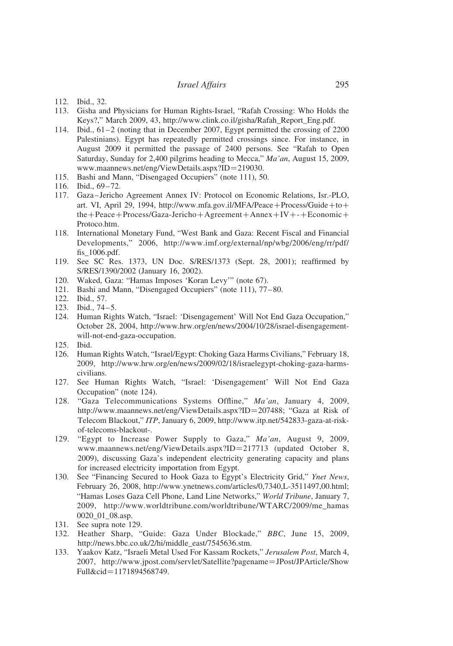- 112. Ibid., 32.
- 113. Gisha and Physicians for Human Rights-Israel, "Rafah Crossing: Who Holds the Keys?," March 2009, 43, http://www.clink.co.il/gisha/Rafah\_Report\_Eng.pdf.
- 114. Ibid., 61–2 (noting that in December 2007, Egypt permitted the crossing of 2200 Palestinians). Egypt has repeatedly permitted crossings since. For instance, in August 2009 it permitted the passage of 2400 persons. See "Rafah to Open Saturday, Sunday for 2,400 pilgrims heading to Mecca," Ma'an, August 15, 2009, www.maannews.net/eng/ViewDetails.aspx?ID= $219030$ .
- 115. Bashi and Mann, "Disengaged Occupiers" (note 111), 50.
- 116. Ibid., 69–72.
- 117. Gaza–Jericho Agreement Annex IV: Protocol on Economic Relations, Isr.-PLO, art. VI, April 29, 1994, http://www.mfa.gov.il/MFA/Peace+Process/Guide+to+  $the + Peace + Process/Gaza-Jericho + Agreement + Annex + IV + - + Economic +$ Protoco.htm.
- 118. International Monetary Fund, "West Bank and Gaza: Recent Fiscal and Financial Developments," 2006, http://www.imf.org/external/np/wbg/2006/eng/rr/pdf/ fis\_1006.pdf.
- 119. See SC Res. 1373, UN Doc. S/RES/1373 (Sept. 28, 2001); reaffirmed by S/RES/1390/2002 (January 16, 2002).
- 120. Waked, Gaza: "Hamas Imposes 'Koran Levy'" (note 67).
- 121. Bashi and Mann, "Disengaged Occupiers" (note 111), 77–80.
- 122. Ibid., 57.
- 123. Ibid., 74–5.
- 124. Human Rights Watch, "Israel: 'Disengagement' Will Not End Gaza Occupation," October 28, 2004, http://www.hrw.org/en/news/2004/10/28/israel-disengagementwill-not-end-gaza-occupation.
- 125. Ibid.
- 126. Human Rights Watch, "Israel/Egypt: Choking Gaza Harms Civilians," February 18, 2009, http://www.hrw.org/en/news/2009/02/18/israelegypt-choking-gaza-harmscivilians.
- 127. See Human Rights Watch, "Israel: 'Disengagement' Will Not End Gaza Occupation" (note 124).
- 128. "Gaza Telecommunications Systems Offline," Ma'an, January 4, 2009, http://www.maannews.net/eng/ViewDetails.aspx?ID=207488; "Gaza at Risk of Telecom Blackout," ITP, January 6, 2009, http://www.itp.net/542833-gaza-at-riskof-telecoms-blackout-.
- 129. "Egypt to Increase Power Supply to Gaza," Ma'an, August 9, 2009, www.maannews.net/eng/ViewDetails.aspx?ID=217713 (updated October 8, 2009), discussing Gaza's independent electricity generating capacity and plans for increased electricity importation from Egypt.
- 130. See "Financing Secured to Hook Gaza to Egypt's Electricity Grid," Ynet News, February 26, 2008, http://www.ynetnews.com/articles/0,7340,L-3511497,00.html; "Hamas Loses Gaza Cell Phone, Land Line Networks," World Tribune, January 7, 2009, http://www.worldtribune.com/worldtribune/WTARC/2009/me\_hamas 0020\_01\_08.asp.
- 131. See supra note 129.
- 132. Heather Sharp, "Guide: Gaza Under Blockade," BBC, June 15, 2009, http://news.bbc.co.uk/2/hi/middle\_east/7545636.stm.
- 133. Yaakov Katz, "Israeli Metal Used For Kassam Rockets," Jerusalem Post, March 4, 2007, http://www.jpost.com/servlet/Satellite?pagename=JPost/JPArticle/Show Full&cid=1171894568749.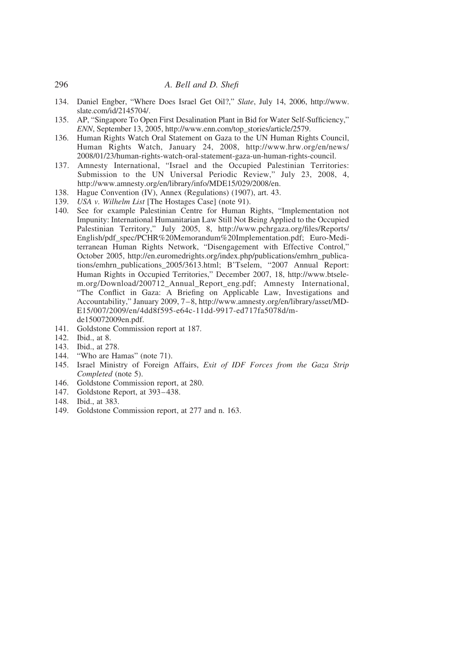- 134. Daniel Engber, "Where Does Israel Get Oil?," Slate, July 14, 2006, http://www. slate.com/id/2145704/.
- 135. AP, "Singapore To Open First Desalination Plant in Bid for Water Self-Sufficiency," ENN, September 13, 2005, http://www.enn.com/top\_stories/article/2579.
- 136. Human Rights Watch Oral Statement on Gaza to the UN Human Rights Council, Human Rights Watch, January 24, 2008, http://www.hrw.org/en/news/ 2008/01/23/human-rights-watch-oral-statement-gaza-un-human-rights-council.
- 137. Amnesty International, "Israel and the Occupied Palestinian Territories: Submission to the UN Universal Periodic Review," July 23, 2008, 4, http://www.amnesty.org/en/library/info/MDE15/029/2008/en.
- 138. Hague Convention (IV), Annex (Regulations) (1907), art. 43.
- 139. *USA v. Wilhelm List* [The Hostages Case] (note 91).
- 140. See for example Palestinian Centre for Human Rights, "Implementation not Impunity: International Humanitarian Law Still Not Being Applied to the Occupied Palestinian Territory," July 2005, 8, http://www.pchrgaza.org/files/Reports/ English/pdf\_spec/PCHR%20Memorandum%20Implementation.pdf; Euro-Mediterranean Human Rights Network, "Disengagement with Effective Control," October 2005, http://en.euromedrights.org/index.php/publications/emhrn\_publications/emhrn\_publications\_2005/3613.html; B'Tselem, "2007 Annual Report: Human Rights in Occupied Territories," December 2007, 18, http://www.btselem.org/Download/200712\_Annual\_Report\_eng.pdf; Amnesty International, "The Conflict in Gaza: A Briefing on Applicable Law, Investigations and Accountability," January 2009, 7–8, http://www.amnesty.org/en/library/asset/MD-E15/007/2009/en/4dd8f595-e64c-11dd-9917-ed717fa5078d/mde150072009en.pdf.
- 141. Goldstone Commission report at 187.
- 142. Ibid., at 8.
- 143. Ibid., at 278.
- 144. "Who are Hamas" (note 71).
- 145. Israel Ministry of Foreign Affairs, Exit of IDF Forces from the Gaza Strip Completed (note 5).
- 146. Goldstone Commission report, at 280.
- 147. Goldstone Report, at 393–438.
- 148. Ibid., at 383.
- 149. Goldstone Commission report, at 277 and n. 163.